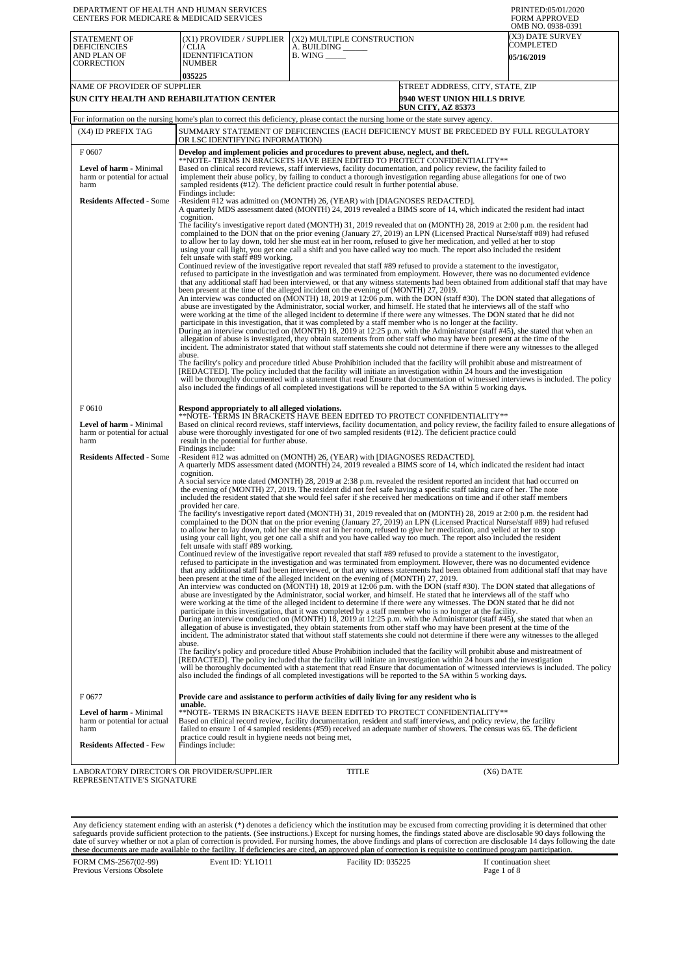| DEPARTMENT OF HEALTH AND HUMAN SERVICES<br>CENTERS FOR MEDICARE & MEDICAID SERVICES |                                                                                                                                                                                                                                                                                                                                                                                                                                                                                                                                                                                                                                                                                                                                                                                                                                                                                                                                                                                                                                                                                                                                                                                                                                                                                                                                                                                                            |                                                                                                                            |                                                                                                     | PRINTED:05/01/2020<br><b>FORM APPROVED</b><br>OMB NO. 0938-0391 |
|-------------------------------------------------------------------------------------|------------------------------------------------------------------------------------------------------------------------------------------------------------------------------------------------------------------------------------------------------------------------------------------------------------------------------------------------------------------------------------------------------------------------------------------------------------------------------------------------------------------------------------------------------------------------------------------------------------------------------------------------------------------------------------------------------------------------------------------------------------------------------------------------------------------------------------------------------------------------------------------------------------------------------------------------------------------------------------------------------------------------------------------------------------------------------------------------------------------------------------------------------------------------------------------------------------------------------------------------------------------------------------------------------------------------------------------------------------------------------------------------------------|----------------------------------------------------------------------------------------------------------------------------|-----------------------------------------------------------------------------------------------------|-----------------------------------------------------------------|
| STATEMENT OF<br><b>DEFICIENCIES</b><br>AND PLAN OF<br>CORRECTION                    | (X1) PROVIDER / SUPPLIER<br>CLIA<br><b>IDENNTIFICATION</b><br>NUMBER                                                                                                                                                                                                                                                                                                                                                                                                                                                                                                                                                                                                                                                                                                                                                                                                                                                                                                                                                                                                                                                                                                                                                                                                                                                                                                                                       | (X2) MULTIPLE CONSTRUCTION<br>A. BUILDING __<br>$B.$ WING $\_\_\_\_\_\_\_\$                                                |                                                                                                     | (X3) DATE SURVEY<br>COMPLETED<br><b>05/16/2019</b>              |
|                                                                                     | 035225                                                                                                                                                                                                                                                                                                                                                                                                                                                                                                                                                                                                                                                                                                                                                                                                                                                                                                                                                                                                                                                                                                                                                                                                                                                                                                                                                                                                     |                                                                                                                            |                                                                                                     |                                                                 |
| NAME OF PROVIDER OF SUPPLIER<br>SUN CITY HEALTH AND REHABILITATION CENTER           |                                                                                                                                                                                                                                                                                                                                                                                                                                                                                                                                                                                                                                                                                                                                                                                                                                                                                                                                                                                                                                                                                                                                                                                                                                                                                                                                                                                                            |                                                                                                                            | STREET ADDRESS, CITY, STATE, ZIP<br><b>9940 WEST UNION HILLS DRIVE</b><br><b>SUN CITY, AZ 85373</b> |                                                                 |
|                                                                                     | For information on the nursing home's plan to correct this deficiency, please contact the nursing home or the state survey agency.                                                                                                                                                                                                                                                                                                                                                                                                                                                                                                                                                                                                                                                                                                                                                                                                                                                                                                                                                                                                                                                                                                                                                                                                                                                                         |                                                                                                                            |                                                                                                     |                                                                 |
| (X4) ID PREFIX TAG                                                                  | SUMMARY STATEMENT OF DEFICIENCIES (EACH DEFICIENCY MUST BE PRECEDED BY FULL REGULATORY<br>OR LSC IDENTIFYING INFORMATION)                                                                                                                                                                                                                                                                                                                                                                                                                                                                                                                                                                                                                                                                                                                                                                                                                                                                                                                                                                                                                                                                                                                                                                                                                                                                                  |                                                                                                                            |                                                                                                     |                                                                 |
| F 0607                                                                              | Develop and implement policies and procedures to prevent abuse, neglect, and theft.<br>**NOTE- TERMS IN BRACKETS HAVE BEEN EDITED TO PROTECT CONFIDENTIALITY**                                                                                                                                                                                                                                                                                                                                                                                                                                                                                                                                                                                                                                                                                                                                                                                                                                                                                                                                                                                                                                                                                                                                                                                                                                             |                                                                                                                            |                                                                                                     |                                                                 |
| Level of harm - Minimal<br>harm or potential for actual<br>harm                     | Based on clinical record reviews, staff interviews, facility documentation, and policy review, the facility failed to<br>implement their abuse policy, by failing to conduct a thorough investigation regarding abuse allegations for one of two<br>sampled residents (#12). The deficient practice could result in further potential abuse.<br>Findings include:                                                                                                                                                                                                                                                                                                                                                                                                                                                                                                                                                                                                                                                                                                                                                                                                                                                                                                                                                                                                                                          |                                                                                                                            |                                                                                                     |                                                                 |
| <b>Residents Affected - Some</b>                                                    | -Resident #12 was admitted on (MONTH) 26, (YEAR) with [DIAGNOSES REDACTED].<br>A quarterly MDS assessment dated (MONTH) 24, 2019 revealed a BIMS score of 14, which indicated the resident had intact<br>cognition.                                                                                                                                                                                                                                                                                                                                                                                                                                                                                                                                                                                                                                                                                                                                                                                                                                                                                                                                                                                                                                                                                                                                                                                        |                                                                                                                            |                                                                                                     |                                                                 |
|                                                                                     | The facility's investigative report dated (MONTH) 31, 2019 revealed that on (MONTH) 28, 2019 at 2:00 p.m. the resident had<br>complained to the DON that on the prior evening (January 27, 2019) an LPN (Licensed Practical Nurse/staff #89) had refused<br>to allow her to lay down, told her she must eat in her room, refused to give her medication, and yelled at her to stop<br>using your call light, you get one call a shift and you have called way too much. The report also included the resident<br>felt unsafe with staff #89 working.                                                                                                                                                                                                                                                                                                                                                                                                                                                                                                                                                                                                                                                                                                                                                                                                                                                       |                                                                                                                            |                                                                                                     |                                                                 |
|                                                                                     | Continued review of the investigative report revealed that staff #89 refused to provide a statement to the investigator,<br>refused to participate in the investigation and was terminated from employment. However, there was no documented evidence<br>that any additional staff had been interviewed, or that any witness statements had been obtained from additional staff that may have<br>been present at the time of the alleged incident on the evening of (MONTH) 27, 2019.<br>An interview was conducted on (MONTH) 18, 2019 at 12:06 p.m. with the DON (staff #30). The DON stated that allegations of<br>abuse are investigated by the Administrator, social worker, and himself. He stated that he interviews all of the staff who<br>were working at the time of the alleged incident to determine if there were any witnesses. The DON stated that he did not<br>participate in this investigation, that it was completed by a staff member who is no longer at the facility.<br>During an interview conducted on (MONTH) 18, 2019 at 12:25 p.m. with the Administrator (staff #45), she stated that when an<br>allegation of abuse is investigated, they obtain statements from other staff who may have been present at the time of the<br>incident. The administrator stated that without staff statements she could not determine if there were any witnesses to the alleged<br>abuse. |                                                                                                                            |                                                                                                     |                                                                 |
|                                                                                     | The facility's policy and procedure titled Abuse Prohibition included that the facility will prohibit abuse and mistreatment of<br>[REDACTED]. The policy included that the facility will initiate an investigation within 24 hours and the investigation<br>will be thoroughly documented with a statement that read Ensure that documentation of witnessed interviews is included. The policy<br>also included the findings of all completed investigations will be reported to the SA within 5 working days.                                                                                                                                                                                                                                                                                                                                                                                                                                                                                                                                                                                                                                                                                                                                                                                                                                                                                            |                                                                                                                            |                                                                                                     |                                                                 |
| F0610<br>Level of harm - Minimal<br>harm or potential for actual<br>harm            | Respond appropriately to all alleged violations.<br>**NOTE- TERMS IN BRACKETS HAVE BEEN EDITED TO PROTECT CONFIDENTIALITY**<br>Based on clinical record reviews, staff interviews, facility documentation, and policy review, the facility failed to ensure allegations of<br>abuse were thoroughly investigated for one of two sampled residents (#12). The deficient practice could<br>result in the potential for further abuse.                                                                                                                                                                                                                                                                                                                                                                                                                                                                                                                                                                                                                                                                                                                                                                                                                                                                                                                                                                        |                                                                                                                            |                                                                                                     |                                                                 |
| <b>Residents Affected - Some</b>                                                    | Findings include:<br>-Resident #12 was admitted on (MONTH) 26, (YEAR) with [DIAGNOSES REDACTED].<br>A quarterly MDS assessment dated (MONTH) 24, 2019 revealed a BIMS score of 14, which indicated the resident had intact                                                                                                                                                                                                                                                                                                                                                                                                                                                                                                                                                                                                                                                                                                                                                                                                                                                                                                                                                                                                                                                                                                                                                                                 |                                                                                                                            |                                                                                                     |                                                                 |
|                                                                                     | cognition.<br>A social service note dated (MONTH) 28, 2019 at 2:38 p.m. revealed the resident reported an incident that had occurred on<br>the evening of (MONTH) 27, 2019. The resident did not feel safe having a specific staff taking care of her. The note<br>included the resident stated that she would feel safer if she received her medications on time and if other staff members<br>provided her care.                                                                                                                                                                                                                                                                                                                                                                                                                                                                                                                                                                                                                                                                                                                                                                                                                                                                                                                                                                                         |                                                                                                                            |                                                                                                     |                                                                 |
|                                                                                     | The facility's investigative report dated (MONTH) 31, 2019 revealed that on (MONTH) 28, 2019 at 2:00 p.m. the resident had<br>to allow her to lay down, told her she must eat in her room, refused to give her medication, and yelled at her to stop<br>using your call light, you get one call a shift and you have called way too much. The report also included the resident<br>felt unsafe with staff #89 working.                                                                                                                                                                                                                                                                                                                                                                                                                                                                                                                                                                                                                                                                                                                                                                                                                                                                                                                                                                                     | complained to the DON that on the prior evening (January 27, 2019) an LPN (Licensed Practical Nurse/staff #89) had refused |                                                                                                     |                                                                 |
|                                                                                     | Continued review of the investigative report revealed that staff #89 refused to provide a statement to the investigator,<br>refused to participate in the investigation and was terminated from employment. However, there was no documented evidence<br>that any additional staff had been interviewed, or that any witness statements had been obtained from additional staff that may have<br>been present at the time of the alleged incident on the evening of (MONTH) 27, 2019.<br>An interview was conducted on (MONTH) 18, 2019 at 12:06 p.m. with the DON (staff #30). The DON stated that allegations of<br>abuse are investigated by the Administrator, social worker, and himself. He stated that he interviews all of the staff who<br>were working at the time of the alleged incident to determine if there were any witnesses. The DON stated that he did not<br>participate in this investigation, that it was completed by a staff member who is no longer at the facility.<br>During an interview conducted on (MONTH) 18, 2019 at 12:25 p.m. with the Administrator (staff #45), she stated that when an<br>allegation of abuse is investigated, they obtain statements from other staff who may have been present at the time of the<br>incident. The administrator stated that without staff statements she could not determine if there were any witnesses to the alleged<br>abuse. |                                                                                                                            |                                                                                                     |                                                                 |
|                                                                                     | The facility's policy and procedure titled Abuse Prohibition included that the facility will prohibit abuse and mistreatment of<br>[REDACTED]. The policy included that the facility will initiate an investigation within 24 hours and the investigation<br>will be thoroughly documented with a statement that read Ensure that documentation of witnessed interviews is included. The policy<br>also included the findings of all completed investigations will be reported to the SA within 5 working days.                                                                                                                                                                                                                                                                                                                                                                                                                                                                                                                                                                                                                                                                                                                                                                                                                                                                                            |                                                                                                                            |                                                                                                     |                                                                 |
| F0677                                                                               | Provide care and assistance to perform activities of daily living for any resident who is                                                                                                                                                                                                                                                                                                                                                                                                                                                                                                                                                                                                                                                                                                                                                                                                                                                                                                                                                                                                                                                                                                                                                                                                                                                                                                                  |                                                                                                                            |                                                                                                     |                                                                 |
| Level of harm - Minimal<br>harm or potential for actual<br>harm                     | unable.<br>**NOTE- TERMS IN BRACKETS HAVE BEEN EDITED TO PROTECT CONFIDENTIALITY**<br>Based on clinical record review, facility documentation, resident and staff interviews, and policy review, the facility<br>failed to ensure 1 of 4 sampled residents (#59) received an adequate number of showers. The census was 65. The deficient<br>practice could result in hygiene needs not being met,                                                                                                                                                                                                                                                                                                                                                                                                                                                                                                                                                                                                                                                                                                                                                                                                                                                                                                                                                                                                         |                                                                                                                            |                                                                                                     |                                                                 |
| <b>Residents Affected - Few</b>                                                     | Findings include:                                                                                                                                                                                                                                                                                                                                                                                                                                                                                                                                                                                                                                                                                                                                                                                                                                                                                                                                                                                                                                                                                                                                                                                                                                                                                                                                                                                          |                                                                                                                            |                                                                                                     |                                                                 |
| LABORATORY DIRECTOR'S OR PROVIDER/SUPPLIER<br>REPRESENTATIVE'S SIGNATURE            |                                                                                                                                                                                                                                                                                                                                                                                                                                                                                                                                                                                                                                                                                                                                                                                                                                                                                                                                                                                                                                                                                                                                                                                                                                                                                                                                                                                                            | TITLE                                                                                                                      | (X6) DATE                                                                                           |                                                                 |

Any deficiency statement ending with an asterisk (\*) denotes a deficiency which the institution may be excused from correcting providing it is determined that other safeguards provide sufficient protection to the patients.

FORM CMS-2567(02-99) Previous Versions Obsolete Event ID: YL1O11 Facility ID: 035225 If continuation sheet<br>Page 1 of 8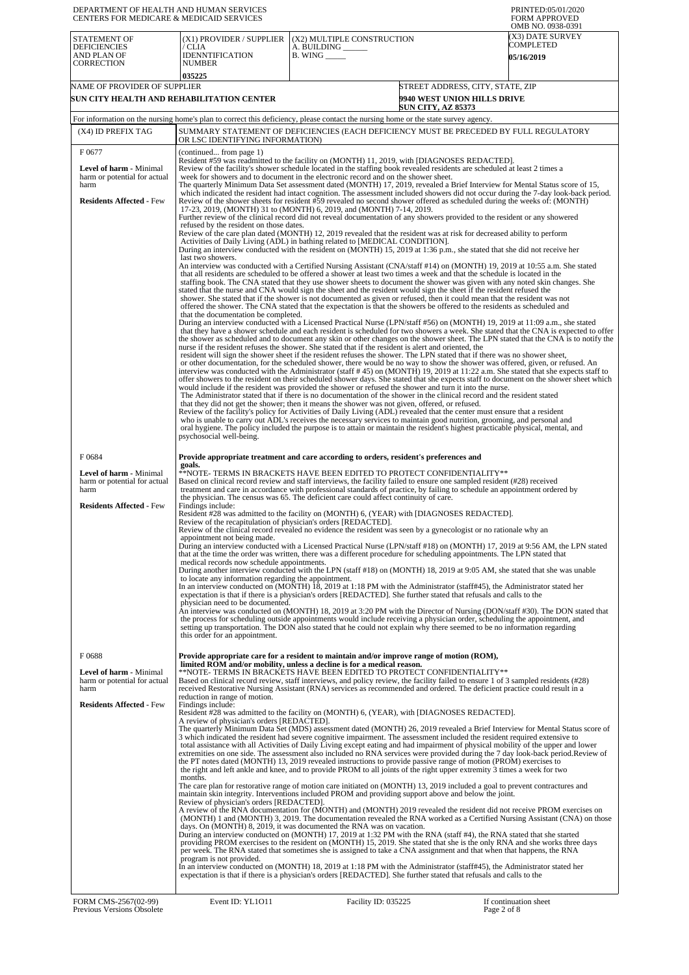| DEPARTMENT OF HEALTH AND HUMAN SERVICES<br>CENTERS FOR MEDICARE & MEDICAID SERVICES                       |                                                                                                                                                                                                                                                                                                                                                              | PRINTED:05/01/2020<br><b>FORM APPROVED</b><br>OMB NO. 0938-0391                                                                                                                                                                                                                                                                                                                                                                                                                                                                                                                                                                                                                                                                                                                |                                                          |                                                    |
|-----------------------------------------------------------------------------------------------------------|--------------------------------------------------------------------------------------------------------------------------------------------------------------------------------------------------------------------------------------------------------------------------------------------------------------------------------------------------------------|--------------------------------------------------------------------------------------------------------------------------------------------------------------------------------------------------------------------------------------------------------------------------------------------------------------------------------------------------------------------------------------------------------------------------------------------------------------------------------------------------------------------------------------------------------------------------------------------------------------------------------------------------------------------------------------------------------------------------------------------------------------------------------|----------------------------------------------------------|----------------------------------------------------|
| <b>STATEMENT OF</b><br><b>DEFICIENCIES</b><br>AND PLAN OF<br><b>CORRECTION</b>                            | (X1) PROVIDER / SUPPLIER<br>/ CLIA<br><b>IDENNTIFICATION</b><br><b>NUMBER</b>                                                                                                                                                                                                                                                                                | (X2) MULTIPLE CONSTRUCTION<br>A. BUILDING<br><b>B. WING</b>                                                                                                                                                                                                                                                                                                                                                                                                                                                                                                                                                                                                                                                                                                                    |                                                          | (X3) DATE SURVEY<br>COMPLETED<br><b>05/16/2019</b> |
|                                                                                                           | 035225                                                                                                                                                                                                                                                                                                                                                       |                                                                                                                                                                                                                                                                                                                                                                                                                                                                                                                                                                                                                                                                                                                                                                                |                                                          |                                                    |
| NAME OF PROVIDER OF SUPPLIER                                                                              |                                                                                                                                                                                                                                                                                                                                                              |                                                                                                                                                                                                                                                                                                                                                                                                                                                                                                                                                                                                                                                                                                                                                                                | STREET ADDRESS, CITY, STATE, ZIP                         |                                                    |
| SUN CITY HEALTH AND REHABILITATION CENTER                                                                 |                                                                                                                                                                                                                                                                                                                                                              |                                                                                                                                                                                                                                                                                                                                                                                                                                                                                                                                                                                                                                                                                                                                                                                | 9940 WEST UNION HILLS DRIVE<br><b>SUN CITY, AZ 85373</b> |                                                    |
|                                                                                                           | For information on the nursing home's plan to correct this deficiency, please contact the nursing home or the state survey agency.                                                                                                                                                                                                                           |                                                                                                                                                                                                                                                                                                                                                                                                                                                                                                                                                                                                                                                                                                                                                                                |                                                          |                                                    |
| (X4) ID PREFIX TAG                                                                                        | OR LSC IDENTIFYING INFORMATION)                                                                                                                                                                                                                                                                                                                              | SUMMARY STATEMENT OF DEFICIENCIES (EACH DEFICIENCY MUST BE PRECEDED BY FULL REGULATORY                                                                                                                                                                                                                                                                                                                                                                                                                                                                                                                                                                                                                                                                                         |                                                          |                                                    |
| F0677                                                                                                     | (continued from page 1)                                                                                                                                                                                                                                                                                                                                      | Resident #59 was readmitted to the facility on (MONTH) 11, 2019, with [DIAGNOSES REDACTED].                                                                                                                                                                                                                                                                                                                                                                                                                                                                                                                                                                                                                                                                                    |                                                          |                                                    |
| <b>Level of harm - Minimal</b><br>harm or potential for actual<br>harm<br><b>Residents Affected - Few</b> |                                                                                                                                                                                                                                                                                                                                                              | Review of the facility's shower schedule located in the staffing book revealed residents are scheduled at least 2 times a<br>week for showers and to document in the electronic record and on the shower sheet.<br>The quarterly Minimum Data Set assessment dated (MONTH) 17, 2019, revealed a Brief Interview for Mental Status score of 15,<br>which indicated the resident had intact cognition. The assessment included showers did not occur during the 7-day look-back period.<br>Review of the shower sheets for resident #59 revealed no second shower offered as scheduled during the weeks of: (MONTH)                                                                                                                                                              |                                                          |                                                    |
|                                                                                                           |                                                                                                                                                                                                                                                                                                                                                              | 17-23, 2019, (MONTH) 31 to (MONTH) 6, 2019, and (MONTH) 7-14, 2019.<br>Further review of the clinical record did not reveal documentation of any showers provided to the resident or any showered                                                                                                                                                                                                                                                                                                                                                                                                                                                                                                                                                                              |                                                          |                                                    |
|                                                                                                           | refused by the resident on those dates.                                                                                                                                                                                                                                                                                                                      | Review of the care plan dated (MONTH) 12, 2019 revealed that the resident was at risk for decreased ability to perform                                                                                                                                                                                                                                                                                                                                                                                                                                                                                                                                                                                                                                                         |                                                          |                                                    |
|                                                                                                           |                                                                                                                                                                                                                                                                                                                                                              | Activities of Daily Living (ADL) in bathing related to [MEDICAL CONDITION].<br>During an interview conducted with the resident on (MONTH) 15, 2019 at 1:36 p.m., she stated that she did not receive her                                                                                                                                                                                                                                                                                                                                                                                                                                                                                                                                                                       |                                                          |                                                    |
|                                                                                                           | last two showers.                                                                                                                                                                                                                                                                                                                                            |                                                                                                                                                                                                                                                                                                                                                                                                                                                                                                                                                                                                                                                                                                                                                                                |                                                          |                                                    |
|                                                                                                           | that the documentation be completed.                                                                                                                                                                                                                                                                                                                         | An interview was conducted with a Certified Nursing Assistant (CNA/staff #14) on (MONTH) 19, 2019 at 10:55 a.m. She stated<br>that all residents are scheduled to be offered a shower at least two times a week and that the schedule is located in the<br>staffing book. The CNA stated that they use shower sheets to document the shower was given with any noted skin changes. She<br>stated that the nurse and CNA would sign the sheet and the resident would sign the sheet if the resident refused the<br>shower. She stated that if the shower is not documented as given or refused, then it could mean that the resident was not<br>offered the shower. The CNA stated that the expectation is that the showers be offered to the residents as scheduled and        |                                                          |                                                    |
|                                                                                                           |                                                                                                                                                                                                                                                                                                                                                              | During an interview conducted with a Licensed Practical Nurse (LPN/staff #56) on (MONTH) 19, 2019 at 11:09 a.m., she stated<br>that they have a shower schedule and each resident is scheduled for two showers a week. She stated that the CNA is expected to offer<br>the shower as scheduled and to document any skin or other changes on the shower sheet. The LPN stated that the CNA is to notify the<br>nurse if the resident refuses the shower. She stated that if the resident is alert and oriented, the                                                                                                                                                                                                                                                             |                                                          |                                                    |
|                                                                                                           |                                                                                                                                                                                                                                                                                                                                                              | resident will sign the shower sheet if the resident refuses the shower. The LPN stated that if there was no shower sheet,<br>or other documentation, for the scheduled shower, there would be no way to show the shower was offered, given, or refused. An<br>interview was conducted with the Administrator (staff #45) on (MONTH) 19, 2019 at 11:22 a.m. She stated that she expects staff to<br>offer showers to the resident on their scheduled shower days. She stated that she expects staff to document on the shower sheet which<br>would include if the resident was provided the shower or refused the shower and turn it into the nurse.<br>The Administrator stated that if there is no documentation of the shower in the clinical record and the resident stated |                                                          |                                                    |
|                                                                                                           | psychosocial well-being.                                                                                                                                                                                                                                                                                                                                     | that they did not get the shower; then it means the shower was not given, offered, or refused.<br>Review of the facility's policy for Activities of Daily Living (ADL) revealed that the center must ensure that a resident<br>who is unable to carry out ADL's receives the necessary services to maintain good nutrition, grooming, and personal and<br>oral hygiene. The policy included the purpose is to attain or maintain the resident's highest practicable physical, mental, and                                                                                                                                                                                                                                                                                      |                                                          |                                                    |
| F0684                                                                                                     |                                                                                                                                                                                                                                                                                                                                                              | Provide appropriate treatment and care according to orders, resident's preferences and                                                                                                                                                                                                                                                                                                                                                                                                                                                                                                                                                                                                                                                                                         |                                                          |                                                    |
| Level of harm - Minimal<br>harm or potential for actual<br>harm                                           | goals.                                                                                                                                                                                                                                                                                                                                                       | **NOTE- TERMS IN BRACKETS HAVE BEEN EDITED TO PROTECT CONFIDENTIALITY**<br>Based on clinical record review and staff interviews, the facility failed to ensure one sampled resident (#28) received<br>treatment and care in accordance with professional standards of practice, by failing to schedule an appointment ordered by<br>the physician. The census was 65. The deficient care could affect continuity of care.                                                                                                                                                                                                                                                                                                                                                      |                                                          |                                                    |
| <b>Residents Affected - Few</b>                                                                           | Findings include:                                                                                                                                                                                                                                                                                                                                            | Resident #28 was admitted to the facility on (MONTH) 6, (YEAR) with [DIAGNOSES REDACTED].                                                                                                                                                                                                                                                                                                                                                                                                                                                                                                                                                                                                                                                                                      |                                                          |                                                    |
|                                                                                                           | Review of the recapitulation of physician's orders [REDACTED].                                                                                                                                                                                                                                                                                               | Review of the clinical record revealed no evidence the resident was seen by a gynecologist or no rationale why an                                                                                                                                                                                                                                                                                                                                                                                                                                                                                                                                                                                                                                                              |                                                          |                                                    |
|                                                                                                           | appointment not being made.                                                                                                                                                                                                                                                                                                                                  | During an interview conducted with a Licensed Practical Nurse (LPN/staff #18) on (MONTH) 17, 2019 at 9:56 AM, the LPN stated<br>that at the time the order was written, there was a different procedure for scheduling appointments. The LPN stated that                                                                                                                                                                                                                                                                                                                                                                                                                                                                                                                       |                                                          |                                                    |
|                                                                                                           | medical records now schedule appointments.<br>During another interview conducted with the LPN (staff #18) on (MONTH) 18, 2019 at 9:05 AM, she stated that she was unable<br>to locate any information regarding the appointment.<br>In an interview conducted on (MONTH) 18, 2019 at 1:18 PM with the Administrator (staff#45), the Administrator stated her |                                                                                                                                                                                                                                                                                                                                                                                                                                                                                                                                                                                                                                                                                                                                                                                |                                                          |                                                    |
|                                                                                                           | physician need to be documented.                                                                                                                                                                                                                                                                                                                             | expectation is that if there is a physician's orders [REDACTED]. She further stated that refusals and calls to the                                                                                                                                                                                                                                                                                                                                                                                                                                                                                                                                                                                                                                                             |                                                          |                                                    |
|                                                                                                           | this order for an appointment.                                                                                                                                                                                                                                                                                                                               | An interview was conducted on (MONTH) 18, 2019 at 3:20 PM with the Director of Nursing (DON/staff #30). The DON stated that<br>the process for scheduling outside appointments would include receiving a physician order, scheduling the appointment, and<br>setting up transportation. The DON also stated that he could not explain why there seemed to be no information regarding                                                                                                                                                                                                                                                                                                                                                                                          |                                                          |                                                    |
| F0688                                                                                                     |                                                                                                                                                                                                                                                                                                                                                              | Provide appropriate care for a resident to maintain and/or improve range of motion (ROM),<br>limited ROM and/or mobility, unless a decline is for a medical reason.                                                                                                                                                                                                                                                                                                                                                                                                                                                                                                                                                                                                            |                                                          |                                                    |
| Level of harm - Minimal<br>harm or potential for actual<br>harm                                           |                                                                                                                                                                                                                                                                                                                                                              | **NOTE- TERMS IN BRACKETS HAVE BEEN EDITED TO PROTECT CONFIDENTIALITY**<br>Based on clinical record review, staff interviews, and policy review, the facility failed to ensure 1 of 3 sampled residents (#28)<br>received Restorative Nursing Assistant (RNA) services as recommended and ordered. The deficient practice could result in a                                                                                                                                                                                                                                                                                                                                                                                                                                    |                                                          |                                                    |
| <b>Residents Affected - Few</b>                                                                           | reduction in range of motion.<br>Findings include:<br>A review of physician's orders [REDACTED].                                                                                                                                                                                                                                                             | Resident #28 was admitted to the facility on (MONTH) 6, (YEAR), with [DIAGNOSES REDACTED].                                                                                                                                                                                                                                                                                                                                                                                                                                                                                                                                                                                                                                                                                     |                                                          |                                                    |
|                                                                                                           |                                                                                                                                                                                                                                                                                                                                                              | The quarterly Minimum Data Set (MDS) assessment dated (MONTH) 26, 2019 revealed a Brief Interview for Mental Status score of<br>3 which indicated the resident had severe cognitive impairment. The assessment included the resident required extensive to<br>total assistance with all Activities of Daily Living except eating and had impairment of physical mobility of the upper and lower                                                                                                                                                                                                                                                                                                                                                                                |                                                          |                                                    |
|                                                                                                           | months.                                                                                                                                                                                                                                                                                                                                                      | extremities on one side. The assessment also included no RNA services were provided during the 7 day look-back period.Review of<br>the PT notes dated (MONTH) 13, 2019 revealed instructions to provide passive range of motion (PROM) exercises to<br>the right and left ankle and knee, and to provide PROM to all joints of the right upper extremity 3 times a week for two                                                                                                                                                                                                                                                                                                                                                                                                |                                                          |                                                    |
|                                                                                                           | Review of physician's orders [REDACTED].                                                                                                                                                                                                                                                                                                                     | The care plan for restorative range of motion care initiated on (MONTH) 13, 2019 included a goal to prevent contractures and<br>maintain skin integrity. Interventions included PROM and providing support above and below the joint.<br>A review of the RNA documentation for (MONTH) and (MONTH) 2019 revealed the resident did not receive PROM exercises on                                                                                                                                                                                                                                                                                                                                                                                                                |                                                          |                                                    |
|                                                                                                           |                                                                                                                                                                                                                                                                                                                                                              | (MONTH) 1 and (MONTH) 3, 2019. The documentation revealed the RNA worked as a Certified Nursing Assistant (CNA) on those<br>days. On (MONTH) 8, 2019, it was documented the RNA was on vacation.<br>During an interview conducted on (MONTH) 17, 2019 at 1:32 PM with the RNA (staff #4), the RNA stated that she started<br>providing PROM exercises to the resident on (MONTH) 15, 2019. She stated that she is the only RNA and she works three days<br>per week. The RNA stated that sometimes she is assigned to take a CNA assignment and that when that happens, the RNA                                                                                                                                                                                                |                                                          |                                                    |
|                                                                                                           | program is not provided.                                                                                                                                                                                                                                                                                                                                     | In an interview conducted on (MONTH) 18, 2019 at 1:18 PM with the Administrator (staff#45), the Administrator stated her<br>expectation is that if there is a physician's orders [REDACTED]. She further stated that refusals and calls to the                                                                                                                                                                                                                                                                                                                                                                                                                                                                                                                                 |                                                          |                                                    |
| FORM CMS-2567(02-99)                                                                                      | Event ID: YL1011                                                                                                                                                                                                                                                                                                                                             | Facility ID: 035225                                                                                                                                                                                                                                                                                                                                                                                                                                                                                                                                                                                                                                                                                                                                                            |                                                          | If continuation sheet                              |

FORM CMS-2567(02-99) Previous Versions Obsolete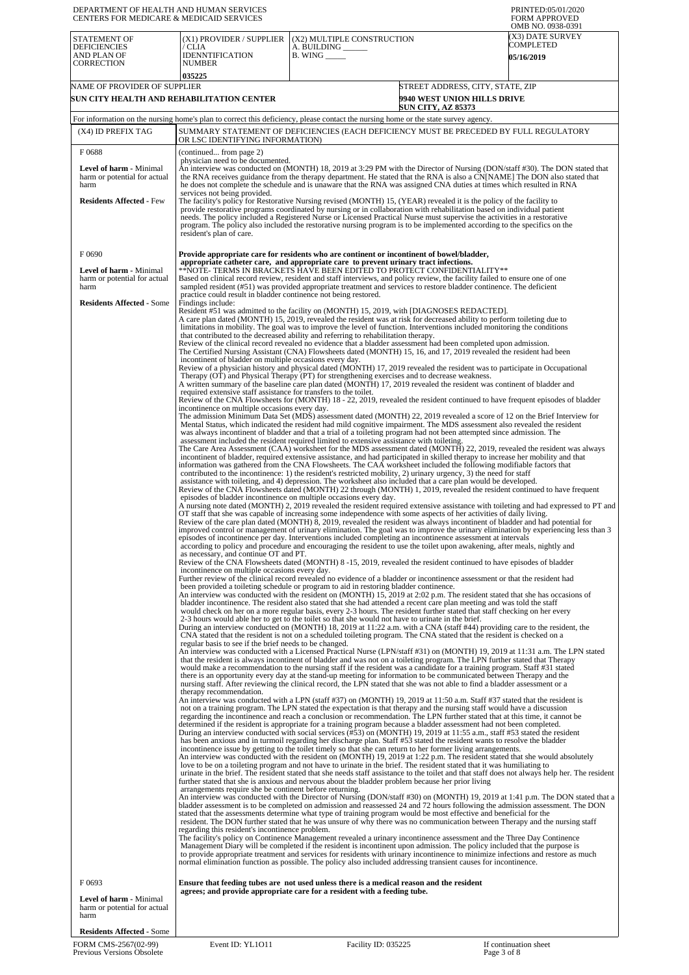| DEPARTMENT OF HEALTH AND HUMAN SERVICES<br>CENTERS FOR MEDICARE & MEDICAID SERVICES                                 |                                                                                                                                                                                                                                                                                                                                                                                                                                                                                                                                                                                                                                                                                                                                                                                                                                                                                                                                                                                                                                                                                                                                                                                                                                                                                                                                                                                                                                                                                                                                                                                                                                                                                                                                                                                                                                                                                                                                                                                                                                                                                                                                                                                                                                                                                                                                                                                                                                                                                                                                                                                                                                                                                                                                                                                                                                                                                                                                                                                                                                                                                                                                                                                                                                                                                                                                                                                                                                                                                                                                                                                                                                                                                                                                                                                                                                                                                                                                                                                                                                                                                                                                                                                                                                                                                                                                                                                                                                                                                                                                                                                                                                                                                                                                                                                                                                                                                                                                                                                                                                                                                                                                                                                                                                                                                                                                                                                                                                                                                                                                                                                                                                                                                                                                                                                                                                                                                                                                                                                                                                                                                                                                                                                                                                                                                                                                                                                                                                                                                                                                                                                                                                                                                                                                                                                                                                                                                                                                                                                                                                                                                                                                                                                                                                                                                                                                                                                                                                                                                                                                                                                                                                                                                                                                                                                                                                                                                                                                                                                                                                                       |                                                                                                                                                                                                                                                                                                                                                                                                                                                                                                                                                                                                                                                                                                                                                                                                                                                                                              | PRINTED:05/01/2020<br><b>FORM APPROVED</b>                                    |  |
|---------------------------------------------------------------------------------------------------------------------|-------------------------------------------------------------------------------------------------------------------------------------------------------------------------------------------------------------------------------------------------------------------------------------------------------------------------------------------------------------------------------------------------------------------------------------------------------------------------------------------------------------------------------------------------------------------------------------------------------------------------------------------------------------------------------------------------------------------------------------------------------------------------------------------------------------------------------------------------------------------------------------------------------------------------------------------------------------------------------------------------------------------------------------------------------------------------------------------------------------------------------------------------------------------------------------------------------------------------------------------------------------------------------------------------------------------------------------------------------------------------------------------------------------------------------------------------------------------------------------------------------------------------------------------------------------------------------------------------------------------------------------------------------------------------------------------------------------------------------------------------------------------------------------------------------------------------------------------------------------------------------------------------------------------------------------------------------------------------------------------------------------------------------------------------------------------------------------------------------------------------------------------------------------------------------------------------------------------------------------------------------------------------------------------------------------------------------------------------------------------------------------------------------------------------------------------------------------------------------------------------------------------------------------------------------------------------------------------------------------------------------------------------------------------------------------------------------------------------------------------------------------------------------------------------------------------------------------------------------------------------------------------------------------------------------------------------------------------------------------------------------------------------------------------------------------------------------------------------------------------------------------------------------------------------------------------------------------------------------------------------------------------------------------------------------------------------------------------------------------------------------------------------------------------------------------------------------------------------------------------------------------------------------------------------------------------------------------------------------------------------------------------------------------------------------------------------------------------------------------------------------------------------------------------------------------------------------------------------------------------------------------------------------------------------------------------------------------------------------------------------------------------------------------------------------------------------------------------------------------------------------------------------------------------------------------------------------------------------------------------------------------------------------------------------------------------------------------------------------------------------------------------------------------------------------------------------------------------------------------------------------------------------------------------------------------------------------------------------------------------------------------------------------------------------------------------------------------------------------------------------------------------------------------------------------------------------------------------------------------------------------------------------------------------------------------------------------------------------------------------------------------------------------------------------------------------------------------------------------------------------------------------------------------------------------------------------------------------------------------------------------------------------------------------------------------------------------------------------------------------------------------------------------------------------------------------------------------------------------------------------------------------------------------------------------------------------------------------------------------------------------------------------------------------------------------------------------------------------------------------------------------------------------------------------------------------------------------------------------------------------------------------------------------------------------------------------------------------------------------------------------------------------------------------------------------------------------------------------------------------------------------------------------------------------------------------------------------------------------------------------------------------------------------------------------------------------------------------------------------------------------------------------------------------------------------------------------------------------------------------------------------------------------------------------------------------------------------------------------------------------------------------------------------------------------------------------------------------------------------------------------------------------------------------------------------------------------------------------------------------------------------------------------------------------------------------------------------------------------------------------------------------------------------------------------------------------------------------------------------------------------------------------------------------------------------------------------------------------------------------------------------------------------------------------------------------------------------------------------------------------------------------------------------------------------------------------------------------------------------------------------------------------------------------------------------------------------------------------------------------------------------------------------------------------------------------------------------------------------------------------------------------------------------------------------------------------------------------------------------------------------------------------------------------------------------------------------------------------------------------------------------------------------------------------------|----------------------------------------------------------------------------------------------------------------------------------------------------------------------------------------------------------------------------------------------------------------------------------------------------------------------------------------------------------------------------------------------------------------------------------------------------------------------------------------------------------------------------------------------------------------------------------------------------------------------------------------------------------------------------------------------------------------------------------------------------------------------------------------------------------------------------------------------------------------------------------------------|-------------------------------------------------------------------------------|--|
| STATEMENT OF<br><b>DEFICIENCIES</b><br>AND PLAN OF<br><b>CORRECTION</b>                                             | (X1) PROVIDER / SUPPLIER<br>/ CLIA<br><b>IDENNTIFICATION</b><br>NUMBER<br>035225                                                                                                                                                                                                                                                                                                                                                                                                                                                                                                                                                                                                                                                                                                                                                                                                                                                                                                                                                                                                                                                                                                                                                                                                                                                                                                                                                                                                                                                                                                                                                                                                                                                                                                                                                                                                                                                                                                                                                                                                                                                                                                                                                                                                                                                                                                                                                                                                                                                                                                                                                                                                                                                                                                                                                                                                                                                                                                                                                                                                                                                                                                                                                                                                                                                                                                                                                                                                                                                                                                                                                                                                                                                                                                                                                                                                                                                                                                                                                                                                                                                                                                                                                                                                                                                                                                                                                                                                                                                                                                                                                                                                                                                                                                                                                                                                                                                                                                                                                                                                                                                                                                                                                                                                                                                                                                                                                                                                                                                                                                                                                                                                                                                                                                                                                                                                                                                                                                                                                                                                                                                                                                                                                                                                                                                                                                                                                                                                                                                                                                                                                                                                                                                                                                                                                                                                                                                                                                                                                                                                                                                                                                                                                                                                                                                                                                                                                                                                                                                                                                                                                                                                                                                                                                                                                                                                                                                                                                                                                                      | (X2) MULTIPLE CONSTRUCTION<br>A. BUILDING _<br><b>B.</b> WING ______                                                                                                                                                                                                                                                                                                                                                                                                                                                                                                                                                                                                                                                                                                                                                                                                                         | OMB NO. 0938-0391<br><b>X3) DATE SURVEY</b><br>COMPLETED<br><b>05/16/2019</b> |  |
| NAME OF PROVIDER OF SUPPLIER                                                                                        | SUN CITY HEALTH AND REHABILITATION CENTER                                                                                                                                                                                                                                                                                                                                                                                                                                                                                                                                                                                                                                                                                                                                                                                                                                                                                                                                                                                                                                                                                                                                                                                                                                                                                                                                                                                                                                                                                                                                                                                                                                                                                                                                                                                                                                                                                                                                                                                                                                                                                                                                                                                                                                                                                                                                                                                                                                                                                                                                                                                                                                                                                                                                                                                                                                                                                                                                                                                                                                                                                                                                                                                                                                                                                                                                                                                                                                                                                                                                                                                                                                                                                                                                                                                                                                                                                                                                                                                                                                                                                                                                                                                                                                                                                                                                                                                                                                                                                                                                                                                                                                                                                                                                                                                                                                                                                                                                                                                                                                                                                                                                                                                                                                                                                                                                                                                                                                                                                                                                                                                                                                                                                                                                                                                                                                                                                                                                                                                                                                                                                                                                                                                                                                                                                                                                                                                                                                                                                                                                                                                                                                                                                                                                                                                                                                                                                                                                                                                                                                                                                                                                                                                                                                                                                                                                                                                                                                                                                                                                                                                                                                                                                                                                                                                                                                                                                                                                                                                                             | 9940 WEST UNION HILLS DRIVE<br><b>SUN CITY, AZ 85373</b>                                                                                                                                                                                                                                                                                                                                                                                                                                                                                                                                                                                                                                                                                                                                                                                                                                     | STREET ADDRESS, CITY, STATE, ZIP                                              |  |
|                                                                                                                     |                                                                                                                                                                                                                                                                                                                                                                                                                                                                                                                                                                                                                                                                                                                                                                                                                                                                                                                                                                                                                                                                                                                                                                                                                                                                                                                                                                                                                                                                                                                                                                                                                                                                                                                                                                                                                                                                                                                                                                                                                                                                                                                                                                                                                                                                                                                                                                                                                                                                                                                                                                                                                                                                                                                                                                                                                                                                                                                                                                                                                                                                                                                                                                                                                                                                                                                                                                                                                                                                                                                                                                                                                                                                                                                                                                                                                                                                                                                                                                                                                                                                                                                                                                                                                                                                                                                                                                                                                                                                                                                                                                                                                                                                                                                                                                                                                                                                                                                                                                                                                                                                                                                                                                                                                                                                                                                                                                                                                                                                                                                                                                                                                                                                                                                                                                                                                                                                                                                                                                                                                                                                                                                                                                                                                                                                                                                                                                                                                                                                                                                                                                                                                                                                                                                                                                                                                                                                                                                                                                                                                                                                                                                                                                                                                                                                                                                                                                                                                                                                                                                                                                                                                                                                                                                                                                                                                                                                                                                                                                                                                                                       | For information on the nursing home's plan to correct this deficiency, please contact the nursing home or the state survey agency.                                                                                                                                                                                                                                                                                                                                                                                                                                                                                                                                                                                                                                                                                                                                                           |                                                                               |  |
| (X4) ID PREFIX TAG                                                                                                  | OR LSC IDENTIFYING INFORMATION)                                                                                                                                                                                                                                                                                                                                                                                                                                                                                                                                                                                                                                                                                                                                                                                                                                                                                                                                                                                                                                                                                                                                                                                                                                                                                                                                                                                                                                                                                                                                                                                                                                                                                                                                                                                                                                                                                                                                                                                                                                                                                                                                                                                                                                                                                                                                                                                                                                                                                                                                                                                                                                                                                                                                                                                                                                                                                                                                                                                                                                                                                                                                                                                                                                                                                                                                                                                                                                                                                                                                                                                                                                                                                                                                                                                                                                                                                                                                                                                                                                                                                                                                                                                                                                                                                                                                                                                                                                                                                                                                                                                                                                                                                                                                                                                                                                                                                                                                                                                                                                                                                                                                                                                                                                                                                                                                                                                                                                                                                                                                                                                                                                                                                                                                                                                                                                                                                                                                                                                                                                                                                                                                                                                                                                                                                                                                                                                                                                                                                                                                                                                                                                                                                                                                                                                                                                                                                                                                                                                                                                                                                                                                                                                                                                                                                                                                                                                                                                                                                                                                                                                                                                                                                                                                                                                                                                                                                                                                                                                                                       | SUMMARY STATEMENT OF DEFICIENCIES (EACH DEFICIENCY MUST BE PRECEDED BY FULL REGULATORY                                                                                                                                                                                                                                                                                                                                                                                                                                                                                                                                                                                                                                                                                                                                                                                                       |                                                                               |  |
| F0688<br><b>Level of harm - Minimal</b><br>harm or potential for actual<br>harm<br><b>Residents Affected - Few</b>  | (continued from page 2)<br>physician need to be documented.<br>services not being provided.<br>resident's plan of care.                                                                                                                                                                                                                                                                                                                                                                                                                                                                                                                                                                                                                                                                                                                                                                                                                                                                                                                                                                                                                                                                                                                                                                                                                                                                                                                                                                                                                                                                                                                                                                                                                                                                                                                                                                                                                                                                                                                                                                                                                                                                                                                                                                                                                                                                                                                                                                                                                                                                                                                                                                                                                                                                                                                                                                                                                                                                                                                                                                                                                                                                                                                                                                                                                                                                                                                                                                                                                                                                                                                                                                                                                                                                                                                                                                                                                                                                                                                                                                                                                                                                                                                                                                                                                                                                                                                                                                                                                                                                                                                                                                                                                                                                                                                                                                                                                                                                                                                                                                                                                                                                                                                                                                                                                                                                                                                                                                                                                                                                                                                                                                                                                                                                                                                                                                                                                                                                                                                                                                                                                                                                                                                                                                                                                                                                                                                                                                                                                                                                                                                                                                                                                                                                                                                                                                                                                                                                                                                                                                                                                                                                                                                                                                                                                                                                                                                                                                                                                                                                                                                                                                                                                                                                                                                                                                                                                                                                                                                               | An interview was conducted on (MONTH) 18, 2019 at 3:29 PM with the Director of Nursing (DON/staff #30). The DON stated that<br>the RNA receives guidance from the therapy department. He stated that the RNA is also a CN[NAME] The DON also stated that<br>he does not complete the schedule and is unaware that the RNA was assigned CNA duties at times which resulted in RNA<br>The facility's policy for Restorative Nursing revised (MONTH) 15, (YEAR) revealed it is the policy of the facility to<br>provide restorative programs coordinated by nursing or in collaboration with rehabilitation based on individual patient<br>needs. The policy included a Registered Nurse or Licensed Practical Nurse must supervise the activities in a restorative<br>program. The policy also included the restorative nursing program is to be implemented according to the specifics on the |                                                                               |  |
| F0690<br><b>Level of harm - Minimal</b><br>harm or potential for actual<br>harm<br><b>Residents Affected - Some</b> | Provide appropriate care for residents who are continent or incontinent of bowel/bladder,<br>appropriate catheter care, and appropriate care to prevent urinary tract infections.<br>**NOTE- TERMS IN BRACKETS HAVE BEEN EDITED TO PROTECT CONFIDENTIALITY**<br>Based on clinical record review, resident and staff interviews, and policy review, the facility failed to ensure one of one<br>sampled resident (#51) was provided appropriate treatment and services to restore bladder continence. The deficient<br>practice could result in bladder continence not being restored.<br>Findings include:<br>Resident #51 was admitted to the facility on (MONTH) 15, 2019, with [DIAGNOSES REDACTED].<br>A care plan dated (MONTH) 15, 2019, revealed the resident was at risk for decreased ability to perform toileting due to<br>limitations in mobility. The goal was to improve the level of function. Interventions included monitoring the conditions<br>that contributed to the decreased ability and referring to rehabilitation therapy.<br>Review of the clinical record revealed no evidence that a bladder assessment had been completed upon admission.<br>The Certified Nursing Assistant (CNA) Flowsheets dated (MONTH) 15, 16, and 17, 2019 revealed the resident had been<br>incontinent of bladder on multiple occasions every day.<br>Review of a physician history and physical dated (MONTH) 17, 2019 revealed the resident was to participate in Occupational<br>Therapy (OT) and Physical Therapy (PT) for strengthening exercises and to decrease weakness.<br>A written summary of the baseline care plan dated (MONTH) 17, 2019 revealed the resident was continent of bladder and<br>required extensive staff assistance for transfers to the toilet.<br>Review of the CNA Flowsheets for (MONTH) 18 - 22, 2019, revealed the resident continued to have frequent episodes of bladder<br>incontinence on multiple occasions every day.<br>The admission Minimum Data Set (MDS) assessment dated (MONTH) 22, 2019 revealed a score of 12 on the Brief Interview for<br>Mental Status, which indicated the resident had mild cognitive impairment. The MDS assessment also revealed the resident<br>was always incontinent of bladder and that a trial of a toileting program had not been attempted since admission. The<br>assessment included the resident required limited to extensive assistance with toileting.<br>The Care Area Assessment (CAA) worksheet for the MDS assessment dated (MONTH) 22, 2019, revealed the resident was always<br>incontinent of bladder, required extensive assistance, and had participated in skilled therapy to increase her mobility and that<br>information was gathered from the CNA Flowsheets. The CAA worksheet included the following modifiable factors that<br>contributed to the incontinence: 1) the resident's restricted mobility, 2) urinary urgency, 3) the need for staff<br>assistance with toileting, and 4) depression. The worksheet also included that a care plan would be developed.<br>Review of the CNA Flowsheets dated (MONTH) 22 through (MONTH) 1, 2019, revealed the resident continued to have frequent<br>episodes of bladder incontinence on multiple occasions every day.<br>A nursing note dated (MONTH) 2, 2019 revealed the resident required extensive assistance with toileting and had expressed to PT and<br>OT staff that she was capable of increasing some independence with some aspects of her activities of daily living.<br>Review of the care plan dated (MONTH) $\bar{8}$ , 2019, revealed the resident was always incontinent of bladder and had potential for<br>improved control or management of urinary elimination. The goal was to improve the urinary elimination by experiencing less than 3<br>episodes of incontinence per day. Interventions included completing an incontinence assessment at intervals<br>according to policy and procedure and encouraging the resident to use the toilet upon awakening, after meals, nightly and<br>as necessary, and continue OT and PT.<br>Review of the CNA Flowsheets dated (MONTH) 8-15, 2019, revealed the resident continued to have episodes of bladder<br>incontinence on multiple occasions every day.<br>Further review of the clinical record revealed no evidence of a bladder or incontinence assessment or that the resident had<br>been provided a toileting schedule or program to aid in restoring bladder continence.<br>An interview was conducted with the resident on (MONTH) 15, 2019 at 2:02 p.m. The resident stated that she has occasions of<br>bladder incontinence. The resident also stated that she had attended a recent care plan meeting and was told the staff<br>would check on her on a more regular basis, every 2-3 hours. The resident further stated that staff checking on her every<br>2-3 hours would able her to get to the toilet so that she would not have to urinate in the brief.<br>During an interview conducted on (MONTH) 18, 2019 at 11:22 a.m. with a CNA (staff #44) providing care to the resident, the<br>CNA stated that the resident is not on a scheduled toileting program. The CNA stated that the resident is checked on a<br>regular basis to see if the brief needs to be changed.<br>An interview was conducted with a Licensed Practical Nurse (LPN/staff #31) on (MONTH) 19, 2019 at 11:31 a.m. The LPN stated<br>that the resident is always incontinent of bladder and was not on a toileting program. The LPN further stated that Therapy<br>would make a recommendation to the nursing staff if the resident was a candidate for a training program. Staff #31 stated<br>there is an opportunity every day at the stand-up meeting for information to be communicated between Therapy and the<br>nursing staff. After reviewing the clinical record, the LPN stated that she was not able to find a bladder assessment or a<br>therapy recommendation.<br>An interview was conducted with a LPN (staff #37) on (MONTH) 19, 2019 at 11:50 a.m. Staff #37 stated that the resident is<br>not on a training program. The LPN stated the expectation is that therapy and the nursing staff would have a discussion<br>regarding the incontinence and reach a conclusion or recommendation. The LPN further stated that at this time, it cannot be<br>determined if the resident is appropriate for a training program because a bladder assessment had not been completed.<br>During an interview conducted with social services (#53) on (MONTH) 19, 2019 at 11:55 a.m., staff #53 stated the resident<br>has been anxious and in turmoil regarding her discharge plan. Staff #53 stated the resident wants to resolve the bladder<br>incontinence issue by getting to the toilet timely so that she can return to her former living arrangements.<br>An interview was conducted with the resident on (MONTH) 19, 2019 at 1:22 p.m. The resident stated that she would absolutely<br>love to be on a toileting program and not have to urinate in the brief. The resident stated that it was humiliating to<br>urinate in the brief. The resident stated that she needs staff assistance to the toilet and that staff does not always help her. The resident<br>further stated that she is anxious and nervous about the bladder problem because her prior living<br>arrangements require she be continent before returning.<br>An interview was conducted with the Director of Nursing (DON/staff #30) on (MONTH) 19, 2019 at 1:41 p.m. The DON stated that a<br>bladder assessment is to be completed on admission and reassessed 24 and 72 hours following the admission assessment. The DON<br>stated that the assessments determine what type of training program would be most effective and beneficial for the<br>resident. The DON further stated that he was unsure of why there was no communication between Therapy and the nursing staff<br>regarding this resident's incontinence problem. |                                                                                                                                                                                                                                                                                                                                                                                                                                                                                                                                                                                                                                                                                                                                                                                                                                                                                              |                                                                               |  |
| F0693<br>Level of harm - Minimal                                                                                    |                                                                                                                                                                                                                                                                                                                                                                                                                                                                                                                                                                                                                                                                                                                                                                                                                                                                                                                                                                                                                                                                                                                                                                                                                                                                                                                                                                                                                                                                                                                                                                                                                                                                                                                                                                                                                                                                                                                                                                                                                                                                                                                                                                                                                                                                                                                                                                                                                                                                                                                                                                                                                                                                                                                                                                                                                                                                                                                                                                                                                                                                                                                                                                                                                                                                                                                                                                                                                                                                                                                                                                                                                                                                                                                                                                                                                                                                                                                                                                                                                                                                                                                                                                                                                                                                                                                                                                                                                                                                                                                                                                                                                                                                                                                                                                                                                                                                                                                                                                                                                                                                                                                                                                                                                                                                                                                                                                                                                                                                                                                                                                                                                                                                                                                                                                                                                                                                                                                                                                                                                                                                                                                                                                                                                                                                                                                                                                                                                                                                                                                                                                                                                                                                                                                                                                                                                                                                                                                                                                                                                                                                                                                                                                                                                                                                                                                                                                                                                                                                                                                                                                                                                                                                                                                                                                                                                                                                                                                                                                                                                                                       | normal elimination function as possible. The policy also included addressing transient causes for incontinence.<br>Ensure that feeding tubes are not used unless there is a medical reason and the resident<br>agrees; and provide appropriate care for a resident with a feeding tube.                                                                                                                                                                                                                                                                                                                                                                                                                                                                                                                                                                                                      |                                                                               |  |
| harm or potential for actual<br>harm<br><b>Residents Affected - Some</b>                                            |                                                                                                                                                                                                                                                                                                                                                                                                                                                                                                                                                                                                                                                                                                                                                                                                                                                                                                                                                                                                                                                                                                                                                                                                                                                                                                                                                                                                                                                                                                                                                                                                                                                                                                                                                                                                                                                                                                                                                                                                                                                                                                                                                                                                                                                                                                                                                                                                                                                                                                                                                                                                                                                                                                                                                                                                                                                                                                                                                                                                                                                                                                                                                                                                                                                                                                                                                                                                                                                                                                                                                                                                                                                                                                                                                                                                                                                                                                                                                                                                                                                                                                                                                                                                                                                                                                                                                                                                                                                                                                                                                                                                                                                                                                                                                                                                                                                                                                                                                                                                                                                                                                                                                                                                                                                                                                                                                                                                                                                                                                                                                                                                                                                                                                                                                                                                                                                                                                                                                                                                                                                                                                                                                                                                                                                                                                                                                                                                                                                                                                                                                                                                                                                                                                                                                                                                                                                                                                                                                                                                                                                                                                                                                                                                                                                                                                                                                                                                                                                                                                                                                                                                                                                                                                                                                                                                                                                                                                                                                                                                                                                       |                                                                                                                                                                                                                                                                                                                                                                                                                                                                                                                                                                                                                                                                                                                                                                                                                                                                                              |                                                                               |  |
|                                                                                                                     |                                                                                                                                                                                                                                                                                                                                                                                                                                                                                                                                                                                                                                                                                                                                                                                                                                                                                                                                                                                                                                                                                                                                                                                                                                                                                                                                                                                                                                                                                                                                                                                                                                                                                                                                                                                                                                                                                                                                                                                                                                                                                                                                                                                                                                                                                                                                                                                                                                                                                                                                                                                                                                                                                                                                                                                                                                                                                                                                                                                                                                                                                                                                                                                                                                                                                                                                                                                                                                                                                                                                                                                                                                                                                                                                                                                                                                                                                                                                                                                                                                                                                                                                                                                                                                                                                                                                                                                                                                                                                                                                                                                                                                                                                                                                                                                                                                                                                                                                                                                                                                                                                                                                                                                                                                                                                                                                                                                                                                                                                                                                                                                                                                                                                                                                                                                                                                                                                                                                                                                                                                                                                                                                                                                                                                                                                                                                                                                                                                                                                                                                                                                                                                                                                                                                                                                                                                                                                                                                                                                                                                                                                                                                                                                                                                                                                                                                                                                                                                                                                                                                                                                                                                                                                                                                                                                                                                                                                                                                                                                                                                                       |                                                                                                                                                                                                                                                                                                                                                                                                                                                                                                                                                                                                                                                                                                                                                                                                                                                                                              |                                                                               |  |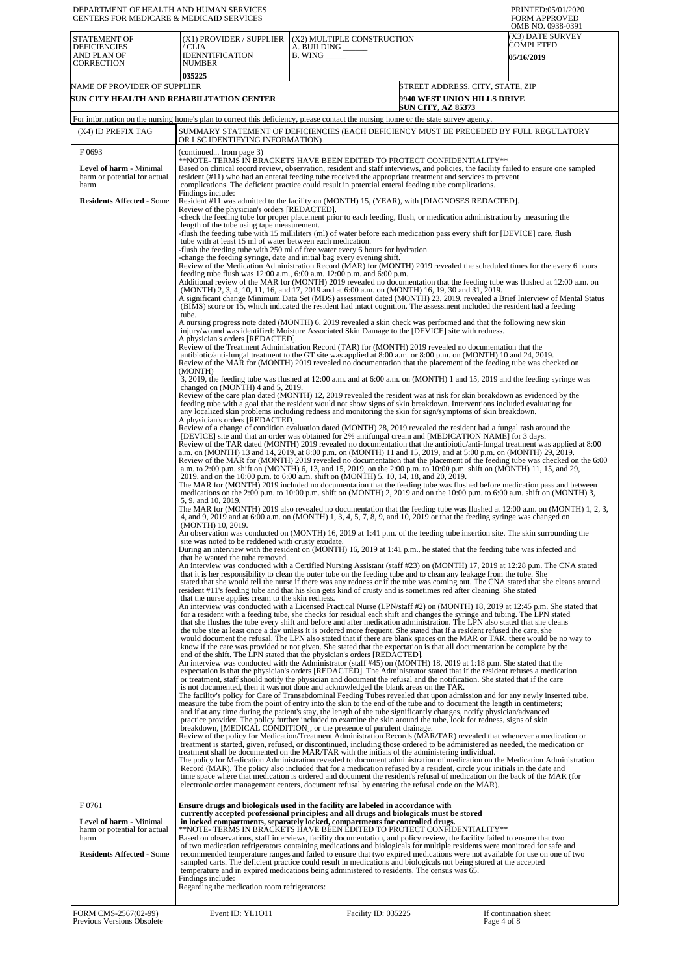| DEPARTMENT OF HEALTH AND HUMAN SERVICES<br>CENTERS FOR MEDICARE & MEDICAID SERVICES |                                                                                                                                                                                                                                                                                                                                                                                                                                            |                                                                                                                                                                                                                                                                                                                                                                                                                                                                                                                                                                                                                                                                                                                                                                                                                                                                                                                                                                                   | PRINTED:05/01/2020<br><b>FORM APPROVED</b>                                                                                                                                                                                                                  |  |  |
|-------------------------------------------------------------------------------------|--------------------------------------------------------------------------------------------------------------------------------------------------------------------------------------------------------------------------------------------------------------------------------------------------------------------------------------------------------------------------------------------------------------------------------------------|-----------------------------------------------------------------------------------------------------------------------------------------------------------------------------------------------------------------------------------------------------------------------------------------------------------------------------------------------------------------------------------------------------------------------------------------------------------------------------------------------------------------------------------------------------------------------------------------------------------------------------------------------------------------------------------------------------------------------------------------------------------------------------------------------------------------------------------------------------------------------------------------------------------------------------------------------------------------------------------|-------------------------------------------------------------------------------------------------------------------------------------------------------------------------------------------------------------------------------------------------------------|--|--|
| <b>STATEMENT OF</b><br><b>DEFICIENCIES</b><br>AND PLAN OF                           | (X1) PROVIDER / SUPPLIER<br>′ CLIA<br><b>IDENNTIFICATION</b>                                                                                                                                                                                                                                                                                                                                                                               | (X2) MULTIPLE CONSTRUCTION<br>A. BUILDING ______<br>$B.$ WING $\_\_\_\_\_\_\_\$                                                                                                                                                                                                                                                                                                                                                                                                                                                                                                                                                                                                                                                                                                                                                                                                                                                                                                   | OMB NO. 0938-0391<br>(X3) DATE SURVEY<br>COMPLETED<br><b>05/16/2019</b>                                                                                                                                                                                     |  |  |
| <b>CORRECTION</b>                                                                   | <b>NUMBER</b>                                                                                                                                                                                                                                                                                                                                                                                                                              |                                                                                                                                                                                                                                                                                                                                                                                                                                                                                                                                                                                                                                                                                                                                                                                                                                                                                                                                                                                   |                                                                                                                                                                                                                                                             |  |  |
| NAME OF PROVIDER OF SUPPLIER                                                        | 035225                                                                                                                                                                                                                                                                                                                                                                                                                                     |                                                                                                                                                                                                                                                                                                                                                                                                                                                                                                                                                                                                                                                                                                                                                                                                                                                                                                                                                                                   | STREET ADDRESS, CITY, STATE, ZIP                                                                                                                                                                                                                            |  |  |
|                                                                                     | SUN CITY HEALTH AND REHABILITATION CENTER                                                                                                                                                                                                                                                                                                                                                                                                  | <b>SUN CITY, AZ 85373</b>                                                                                                                                                                                                                                                                                                                                                                                                                                                                                                                                                                                                                                                                                                                                                                                                                                                                                                                                                         | <b>9940 WEST UNION HILLS DRIVE</b>                                                                                                                                                                                                                          |  |  |
|                                                                                     |                                                                                                                                                                                                                                                                                                                                                                                                                                            | For information on the nursing home's plan to correct this deficiency, please contact the nursing home or the state survey agency.                                                                                                                                                                                                                                                                                                                                                                                                                                                                                                                                                                                                                                                                                                                                                                                                                                                |                                                                                                                                                                                                                                                             |  |  |
| (X4) ID PREFIX TAG                                                                  |                                                                                                                                                                                                                                                                                                                                                                                                                                            | SUMMARY STATEMENT OF DEFICIENCIES (EACH DEFICIENCY MUST BE PRECEDED BY FULL REGULATORY                                                                                                                                                                                                                                                                                                                                                                                                                                                                                                                                                                                                                                                                                                                                                                                                                                                                                            |                                                                                                                                                                                                                                                             |  |  |
| F0693                                                                               | OR LSC IDENTIFYING INFORMATION)<br>(continued from page 3)                                                                                                                                                                                                                                                                                                                                                                                 |                                                                                                                                                                                                                                                                                                                                                                                                                                                                                                                                                                                                                                                                                                                                                                                                                                                                                                                                                                                   |                                                                                                                                                                                                                                                             |  |  |
| <b>Level of harm - Minimal</b><br>harm or potential for actual<br>harm              |                                                                                                                                                                                                                                                                                                                                                                                                                                            | **NOTE- TERMS IN BRACKETS HAVE BEEN EDITED TO PROTECT CONFIDENTIALITY**<br>Based on clinical record review, observation, resident and staff interviews, and policies, the facility failed to ensure one sampled<br>resident (#11) who had an enteral feeding tube received the appropriate treatment and services to prevent<br>complications. The deficient practice could result in potential enteral feeding tube complications.                                                                                                                                                                                                                                                                                                                                                                                                                                                                                                                                               |                                                                                                                                                                                                                                                             |  |  |
| <b>Residents Affected - Some</b>                                                    | Findings include:                                                                                                                                                                                                                                                                                                                                                                                                                          | Resident #11 was admitted to the facility on (MONTH) 15, (YEAR), with [DIAGNOSES REDACTED].                                                                                                                                                                                                                                                                                                                                                                                                                                                                                                                                                                                                                                                                                                                                                                                                                                                                                       |                                                                                                                                                                                                                                                             |  |  |
|                                                                                     | Review of the physician's orders [REDACTED].                                                                                                                                                                                                                                                                                                                                                                                               | -check the feeding tube for proper placement prior to each feeding, flush, or medication administration by measuring the                                                                                                                                                                                                                                                                                                                                                                                                                                                                                                                                                                                                                                                                                                                                                                                                                                                          |                                                                                                                                                                                                                                                             |  |  |
|                                                                                     | length of the tube using tape measurement.<br>tube with at least 15 ml of water between each medication.                                                                                                                                                                                                                                                                                                                                   | flush the feeding tube with 15 milliliters (ml) of water before each medication pass every shift for [DEVICE] care, flush-<br>flush the feeding tube with 250 ml of free water every 6 hours for hydration.<br>change the feeding syringe, date and initial bag every evening shift.<br>Review of the Medication Administration Record (MAR) for (MONTH) 2019 revealed the scheduled times for the every 6 hours<br>feeding tube flush was $12:00$ a.m., $6:00$ a.m. $12:00$ p.m. and $6:00$ p.m.<br>Additional review of the MAR for (MONTH) 2019 revealed no documentation that the feeding tube was flushed at 12:00 a.m. on<br>(MONTH) 2, 3, 4, 10, 11, 16, and 17, 2019 and at 6:00 a.m. on (MONTH) 16, 19, 30 and 31, 2019.                                                                                                                                                                                                                                                 | A significant change Minimum Data Set (MDS) assessment dated (MONTH) 23, 2019, revealed a Brief Interview of Mental Status                                                                                                                                  |  |  |
|                                                                                     | tube.                                                                                                                                                                                                                                                                                                                                                                                                                                      | (BIMS) score or 15, which indicated the resident had intact cognition. The assessment included the resident had a feeding<br>A nursing progress note dated (MONTH) 6, 2019 revealed a skin check was performed and that the following new skin                                                                                                                                                                                                                                                                                                                                                                                                                                                                                                                                                                                                                                                                                                                                    |                                                                                                                                                                                                                                                             |  |  |
|                                                                                     | A physician's orders [REDACTED].                                                                                                                                                                                                                                                                                                                                                                                                           | injury/wound was identified: Moisture Associated Skin Damage to the [DEVICE] site with redness.<br>Review of the Treatment Administration Record (TAR) for (MONTH) 2019 revealed no documentation that the<br>antibiotic/anti-fungal treatment to the GT site was applied at 8:00 a.m. or 8:00 p.m. on (MONTH) 10 and 24, 2019.                                                                                                                                                                                                                                                                                                                                                                                                                                                                                                                                                                                                                                                   |                                                                                                                                                                                                                                                             |  |  |
|                                                                                     | (MONTH)                                                                                                                                                                                                                                                                                                                                                                                                                                    | Review of the MAR for (MONTH) 2019 revealed no documentation that the placement of the feeding tube was checked on<br>3, 2019, the feeding tube was flushed at 12:00 a.m. and at 6:00 a.m. on (MONTH) 1 and 15, 2019 and the feeding syringe was                                                                                                                                                                                                                                                                                                                                                                                                                                                                                                                                                                                                                                                                                                                                  |                                                                                                                                                                                                                                                             |  |  |
|                                                                                     | changed on (MONTH) 4 and 5, 2019.<br>Review of the care plan dated (MONTH) 12, 2019 revealed the resident was at risk for skin breakdown as evidenced by the<br>feeding tube with a goal that the resident would not show signs of skin breakdown. Interventions included evaluating for<br>any localized skin problems including redness and monitoring the skin for sign/symptoms of skin breakdown.<br>A physician's orders [REDACTED]. |                                                                                                                                                                                                                                                                                                                                                                                                                                                                                                                                                                                                                                                                                                                                                                                                                                                                                                                                                                                   |                                                                                                                                                                                                                                                             |  |  |
|                                                                                     |                                                                                                                                                                                                                                                                                                                                                                                                                                            | Review of a change of condition evaluation dated (MONTH) 28, 2019 revealed the resident had a fungal rash around the<br>[DEVICE] site and that an order was obtained for 2% antifungal cream and [MEDICATION NAME] for 3 days.<br>a.m. on (MONTH) 13 and 14, 2019, at 8:00 p.m. on (MONTH) 11 and 15, 2019, and at 5:00 p.m. on (MONTH) 29, 2019.<br>a.m. to 2:00 p.m. shift on (MONTH) 6, 13, and 15, 2019, on the 2:00 p.m. to 10:00 p.m. shift on (MONTH) 11, 15, and 29,<br>2019, and on the 10:00 p.m. to 6:00 a.m. shift on (MONTH) 5, 10, 14, 18, and 20, 2019.                                                                                                                                                                                                                                                                                                                                                                                                            | Review of the TAR dated (MONTH) 2019 revealed no documentation that the antibiotic/anti-fungal treatment was applied at 8:00<br>Review of the MAR for (MONTH) 2019 revealed no documentation that the placement of the feeding tube was checked on the 6:00 |  |  |
|                                                                                     | 5, 9, and 10, 2019.                                                                                                                                                                                                                                                                                                                                                                                                                        | The MAR for (MONTH) 2019 included no documentation that the feeding tube was flushed before medication pass and between<br>medications on the 2:00 p.m. to 10:00 p.m. shift on (MONTH) 2, 2019 and on the 10:00 p.m. to 6:00 a.m. shift on (MONTH) 3,                                                                                                                                                                                                                                                                                                                                                                                                                                                                                                                                                                                                                                                                                                                             |                                                                                                                                                                                                                                                             |  |  |
|                                                                                     | The MAR for (MONTH) 2019 also revealed no documentation that the feeding tube was flushed at 12:00 a.m. on (MONTH) 1, 2, 3,<br>4, and 9, 2019 and at 6:00 a.m. on (MONTH) 1, 3, 4, 5, 7, 8, 9, and 10, 2019 or that the feeding syringe was changed on<br>(MONTH) 10, 2019.<br>An observation was conducted on (MONTH) 16, 2019 at 1:41 p.m. of the feeding tube insertion site. The skin surrounding the                                  |                                                                                                                                                                                                                                                                                                                                                                                                                                                                                                                                                                                                                                                                                                                                                                                                                                                                                                                                                                                   |                                                                                                                                                                                                                                                             |  |  |
|                                                                                     | site was noted to be reddened with crusty exudate.<br>that he wanted the tube removed.                                                                                                                                                                                                                                                                                                                                                     | During an interview with the resident on (MONTH) 16, 2019 at 1:41 p.m., he stated that the feeding tube was infected and                                                                                                                                                                                                                                                                                                                                                                                                                                                                                                                                                                                                                                                                                                                                                                                                                                                          |                                                                                                                                                                                                                                                             |  |  |
|                                                                                     | that the nurse applies cream to the skin redness.                                                                                                                                                                                                                                                                                                                                                                                          | An interview was conducted with a Certified Nursing Assistant (staff #23) on (MONTH) 17, 2019 at 12:28 p.m. The CNA stated<br>that it is her responsibility to clean the outer tube on the feeding tube and to clean any leakage from the tube. She<br>resident #11's feeding tube and that his skin gets kind of crusty and is sometimes red after cleaning. She stated                                                                                                                                                                                                                                                                                                                                                                                                                                                                                                                                                                                                          | stated that she would tell the nurse if there was any redness or if the tube was coming out. The CNA stated that she cleans around                                                                                                                          |  |  |
|                                                                                     |                                                                                                                                                                                                                                                                                                                                                                                                                                            | An interview was conducted with a Licensed Practical Nurse (LPN/staff #2) on (MONTH) 18, 2019 at 12:45 p.m. She stated that<br>for a resident with a feeding tube, she checks for residual each shift and changes the syringe and tubing. The LPN stated<br>that she flushes the tube every shift and before and after medication administration. The LPN also stated that she cleans<br>the tube site at least once a day unless it is ordered more frequent. She stated that if a resident refused the care, she<br>would document the refusal. The LPN also stated that if there are blank spaces on the MAR or TAR, there would be no way to<br>know if the care was provided or not given. She stated that the expectation is that all documentation be complete by the<br>end of the shift. The LPN stated that the physician's orders [REDACTED].                                                                                                                          |                                                                                                                                                                                                                                                             |  |  |
|                                                                                     |                                                                                                                                                                                                                                                                                                                                                                                                                                            | An interview was conducted with the Administrator (staff #45) on (MONTH) 18, 2019 at 1:18 p.m. She stated that the<br>expectation is that the physician's orders [REDACTED]. The Administrator stated that if the resident refuses a medication<br>or treatment, staff should notify the physician and document the refusal and the notification. She stated that if the care<br>is not documented, then it was not done and acknowledged the blank areas on the TAR.<br>The facility's policy for Care of Transabdominal Feeding Tubes revealed that upon admission and for any newly inserted tube,<br>measure the tube from the point of entry into the skin to the end of the tube and to document the length in centimeters;<br>and if at any time during the patient's stay, the length of the tube significantly changes, notify physician/advanced<br>practice provider. The policy further included to examine the skin around the tube, look for redness, signs of skin |                                                                                                                                                                                                                                                             |  |  |
|                                                                                     |                                                                                                                                                                                                                                                                                                                                                                                                                                            | breakdown, [MEDICAL CONDITION], or the presence of purulent drainage.<br>Review of the policy for Medication/Treatment Administration Records (MAR/TAR) revealed that whenever a medication or<br>treatment is started, given, refused, or discontinued, including those ordered to be administered as needed, the medication or<br>treatment shall be documented on the MAR/TAR with the initials of the administering individual.<br>The policy for Medication Administration revealed to document administration of medication on the Medication Administration<br>Record (MAR). The policy also included that for a medication refused by a resident, circle your initials in the date and<br>time space where that medication is ordered and document the resident's refusal of medication on the back of the MAR (for<br>electronic order management centers, document refusal by entering the refusal code on the MAR).                                                    |                                                                                                                                                                                                                                                             |  |  |
| F0761<br>Level of harm - Minimal                                                    |                                                                                                                                                                                                                                                                                                                                                                                                                                            | Ensure drugs and biologicals used in the facility are labeled in accordance with<br>currently accepted professional principles; and all drugs and biologicals must be stored<br>in locked compartments, separately locked, compartments for controlled drugs.                                                                                                                                                                                                                                                                                                                                                                                                                                                                                                                                                                                                                                                                                                                     |                                                                                                                                                                                                                                                             |  |  |
| harm or potential for actual<br>harm<br><b>Residents Affected - Some</b>            |                                                                                                                                                                                                                                                                                                                                                                                                                                            | **NOTE- TERMS IN BRACKETS HAVE BEEN EDITED TO PROTECT CONFIDENTIALITY**<br>Based on observations, staff interviews, facility documentation, and policy review, the facility failed to ensure that two<br>of two medication refrigerators containing medications and biologicals for multiple residents were monitored for safe and<br>recommended temperature ranges and failed to ensure that two expired medications were not available for use on one of two                                                                                                                                                                                                                                                                                                                                                                                                                                                                                                                   |                                                                                                                                                                                                                                                             |  |  |
|                                                                                     | Findings include:<br>Regarding the medication room refrigerators:                                                                                                                                                                                                                                                                                                                                                                          | sampled carts. The deficient practice could result in medications and biologicals not being stored at the accepted<br>temperature and in expired medications being administered to residents. The census was 65.                                                                                                                                                                                                                                                                                                                                                                                                                                                                                                                                                                                                                                                                                                                                                                  |                                                                                                                                                                                                                                                             |  |  |
| FORM CMS-2567(02-99)                                                                | Event ID: YL1011                                                                                                                                                                                                                                                                                                                                                                                                                           | Facility ID: 035225                                                                                                                                                                                                                                                                                                                                                                                                                                                                                                                                                                                                                                                                                                                                                                                                                                                                                                                                                               | If continuation sheet                                                                                                                                                                                                                                       |  |  |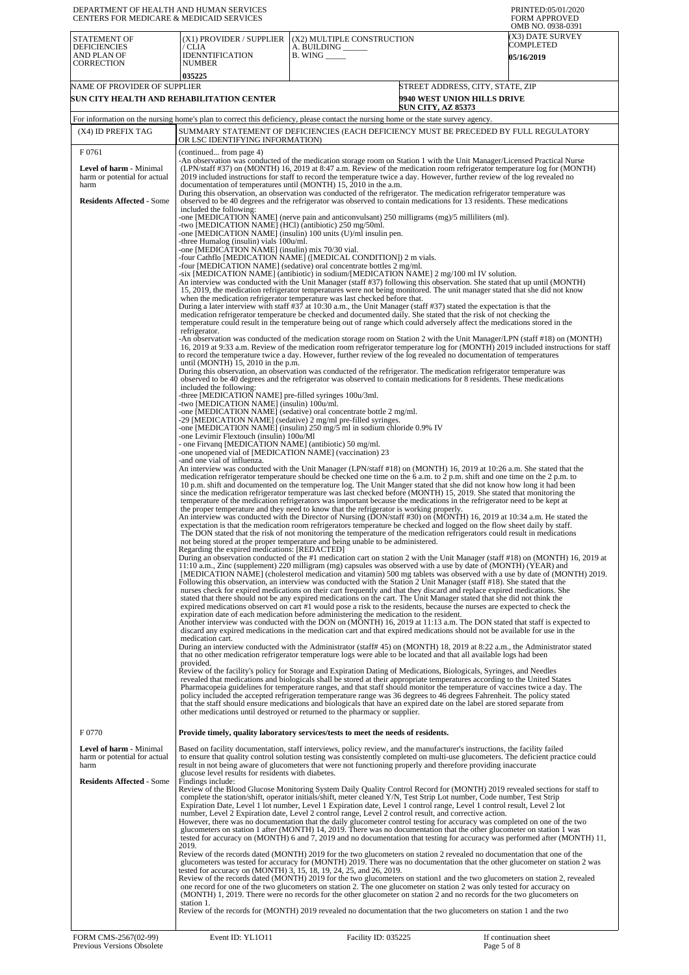| DEPARTMENT OF HEALTH AND HUMAN SERVICES<br>CENTERS FOR MEDICARE & MEDICAID SERVICES                          |                                                                                                                                                                                                                                                                                                                                                                                                                                                                                                                                                                                                                                                                                                                                                                                                                                                                                                                                                                                                                                                                                                                                                                                                                                                                                                                                                                                                                                                                                                                                                                                                                                                                                                                                                                                                                                                                                                                                                                                                                                                                                                                                                                                                                                                                                                                                                                                                                                                                                                                                                                                                                                                                                                                                                                                                                                                                                                                                                                                                                                                                                                                                                                                                                                                                                                                                                                                                                                                                                                                                                                                                                                                            |                                                                                                                                                                                                                                                                                                                                                |                                                                                                                                                                                                                                                                                                                                                                                                                                                                                                                                                                                                                                                                                                                                                                                                                                                                                                                                                                                                                                                                                                                                                                                                                                                                                                                                                                                                                                                                                                                                                                                                                                                                                                                                                                                                                                                                                                                                                                                                                                                                                                                                                                                                                                                                                                                                                                                                                                                                                                                                                                                                                                                                                                          | PRINTED:05/01/2020<br><b>FORM APPROVED</b><br>OMB NO. 0938-0391 |
|--------------------------------------------------------------------------------------------------------------|------------------------------------------------------------------------------------------------------------------------------------------------------------------------------------------------------------------------------------------------------------------------------------------------------------------------------------------------------------------------------------------------------------------------------------------------------------------------------------------------------------------------------------------------------------------------------------------------------------------------------------------------------------------------------------------------------------------------------------------------------------------------------------------------------------------------------------------------------------------------------------------------------------------------------------------------------------------------------------------------------------------------------------------------------------------------------------------------------------------------------------------------------------------------------------------------------------------------------------------------------------------------------------------------------------------------------------------------------------------------------------------------------------------------------------------------------------------------------------------------------------------------------------------------------------------------------------------------------------------------------------------------------------------------------------------------------------------------------------------------------------------------------------------------------------------------------------------------------------------------------------------------------------------------------------------------------------------------------------------------------------------------------------------------------------------------------------------------------------------------------------------------------------------------------------------------------------------------------------------------------------------------------------------------------------------------------------------------------------------------------------------------------------------------------------------------------------------------------------------------------------------------------------------------------------------------------------------------------------------------------------------------------------------------------------------------------------------------------------------------------------------------------------------------------------------------------------------------------------------------------------------------------------------------------------------------------------------------------------------------------------------------------------------------------------------------------------------------------------------------------------------------------------------------------------------------------------------------------------------------------------------------------------------------------------------------------------------------------------------------------------------------------------------------------------------------------------------------------------------------------------------------------------------------------------------------------------------------------------------------------------------------------------|------------------------------------------------------------------------------------------------------------------------------------------------------------------------------------------------------------------------------------------------------------------------------------------------------------------------------------------------|----------------------------------------------------------------------------------------------------------------------------------------------------------------------------------------------------------------------------------------------------------------------------------------------------------------------------------------------------------------------------------------------------------------------------------------------------------------------------------------------------------------------------------------------------------------------------------------------------------------------------------------------------------------------------------------------------------------------------------------------------------------------------------------------------------------------------------------------------------------------------------------------------------------------------------------------------------------------------------------------------------------------------------------------------------------------------------------------------------------------------------------------------------------------------------------------------------------------------------------------------------------------------------------------------------------------------------------------------------------------------------------------------------------------------------------------------------------------------------------------------------------------------------------------------------------------------------------------------------------------------------------------------------------------------------------------------------------------------------------------------------------------------------------------------------------------------------------------------------------------------------------------------------------------------------------------------------------------------------------------------------------------------------------------------------------------------------------------------------------------------------------------------------------------------------------------------------------------------------------------------------------------------------------------------------------------------------------------------------------------------------------------------------------------------------------------------------------------------------------------------------------------------------------------------------------------------------------------------------------------------------------------------------------------------------------------------------|-----------------------------------------------------------------|
| STATEMENT OF<br><b>DEFICIENCIES</b><br>AND PLAN OF<br>CORRECTION                                             | (X1) PROVIDER / SUPPLIER<br>/ CLIA<br><b>IDENNTIFICATION</b><br>NUMBER<br>035225                                                                                                                                                                                                                                                                                                                                                                                                                                                                                                                                                                                                                                                                                                                                                                                                                                                                                                                                                                                                                                                                                                                                                                                                                                                                                                                                                                                                                                                                                                                                                                                                                                                                                                                                                                                                                                                                                                                                                                                                                                                                                                                                                                                                                                                                                                                                                                                                                                                                                                                                                                                                                                                                                                                                                                                                                                                                                                                                                                                                                                                                                                                                                                                                                                                                                                                                                                                                                                                                                                                                                                           | (X2) MULTIPLE CONSTRUCTION<br>A. BUILDING<br><b>B.</b> WING ______                                                                                                                                                                                                                                                                             |                                                                                                                                                                                                                                                                                                                                                                                                                                                                                                                                                                                                                                                                                                                                                                                                                                                                                                                                                                                                                                                                                                                                                                                                                                                                                                                                                                                                                                                                                                                                                                                                                                                                                                                                                                                                                                                                                                                                                                                                                                                                                                                                                                                                                                                                                                                                                                                                                                                                                                                                                                                                                                                                                                          | (X3) DATE SURVEY<br>COMPLETED<br><b>05/16/2019</b>              |
| NAME OF PROVIDER OF SUPPLIER                                                                                 | SUN CITY HEALTH AND REHABILITATION CENTER                                                                                                                                                                                                                                                                                                                                                                                                                                                                                                                                                                                                                                                                                                                                                                                                                                                                                                                                                                                                                                                                                                                                                                                                                                                                                                                                                                                                                                                                                                                                                                                                                                                                                                                                                                                                                                                                                                                                                                                                                                                                                                                                                                                                                                                                                                                                                                                                                                                                                                                                                                                                                                                                                                                                                                                                                                                                                                                                                                                                                                                                                                                                                                                                                                                                                                                                                                                                                                                                                                                                                                                                                  |                                                                                                                                                                                                                                                                                                                                                | STREET ADDRESS, CITY, STATE, ZIP<br><b>9940 WEST UNION HILLS DRIVE</b><br><b>SUN CITY, AZ 85373</b>                                                                                                                                                                                                                                                                                                                                                                                                                                                                                                                                                                                                                                                                                                                                                                                                                                                                                                                                                                                                                                                                                                                                                                                                                                                                                                                                                                                                                                                                                                                                                                                                                                                                                                                                                                                                                                                                                                                                                                                                                                                                                                                                                                                                                                                                                                                                                                                                                                                                                                                                                                                                      |                                                                 |
| (X4) ID PREFIX TAG                                                                                           | For information on the nursing home's plan to correct this deficiency, please contact the nursing home or the state survey agency.<br>SUMMARY STATEMENT OF DEFICIENCIES (EACH DEFICIENCY MUST BE PRECEDED BY FULL REGULATORY                                                                                                                                                                                                                                                                                                                                                                                                                                                                                                                                                                                                                                                                                                                                                                                                                                                                                                                                                                                                                                                                                                                                                                                                                                                                                                                                                                                                                                                                                                                                                                                                                                                                                                                                                                                                                                                                                                                                                                                                                                                                                                                                                                                                                                                                                                                                                                                                                                                                                                                                                                                                                                                                                                                                                                                                                                                                                                                                                                                                                                                                                                                                                                                                                                                                                                                                                                                                                               |                                                                                                                                                                                                                                                                                                                                                |                                                                                                                                                                                                                                                                                                                                                                                                                                                                                                                                                                                                                                                                                                                                                                                                                                                                                                                                                                                                                                                                                                                                                                                                                                                                                                                                                                                                                                                                                                                                                                                                                                                                                                                                                                                                                                                                                                                                                                                                                                                                                                                                                                                                                                                                                                                                                                                                                                                                                                                                                                                                                                                                                                          |                                                                 |
| F0761                                                                                                        | OR LSC IDENTIFYING INFORMATION)<br>(continued from page 4)                                                                                                                                                                                                                                                                                                                                                                                                                                                                                                                                                                                                                                                                                                                                                                                                                                                                                                                                                                                                                                                                                                                                                                                                                                                                                                                                                                                                                                                                                                                                                                                                                                                                                                                                                                                                                                                                                                                                                                                                                                                                                                                                                                                                                                                                                                                                                                                                                                                                                                                                                                                                                                                                                                                                                                                                                                                                                                                                                                                                                                                                                                                                                                                                                                                                                                                                                                                                                                                                                                                                                                                                 |                                                                                                                                                                                                                                                                                                                                                |                                                                                                                                                                                                                                                                                                                                                                                                                                                                                                                                                                                                                                                                                                                                                                                                                                                                                                                                                                                                                                                                                                                                                                                                                                                                                                                                                                                                                                                                                                                                                                                                                                                                                                                                                                                                                                                                                                                                                                                                                                                                                                                                                                                                                                                                                                                                                                                                                                                                                                                                                                                                                                                                                                          |                                                                 |
| <b>Level of harm - Minimal</b><br>harm or potential for actual<br>harm                                       | -An observation was conducted of the medication storage room on Station 1 with the Unit Manager/Licensed Practical Nurse<br>documentation of temperatures until (MONTH) 15, 2010 in the a.m.                                                                                                                                                                                                                                                                                                                                                                                                                                                                                                                                                                                                                                                                                                                                                                                                                                                                                                                                                                                                                                                                                                                                                                                                                                                                                                                                                                                                                                                                                                                                                                                                                                                                                                                                                                                                                                                                                                                                                                                                                                                                                                                                                                                                                                                                                                                                                                                                                                                                                                                                                                                                                                                                                                                                                                                                                                                                                                                                                                                                                                                                                                                                                                                                                                                                                                                                                                                                                                                               |                                                                                                                                                                                                                                                                                                                                                | (LPN/staff #37) on (MONTH) 16, 2019 at 8:47 a.m. Review of the medication room refrigerator temperature log for (MONTH)<br>2019 included instructions for staff to record the temperature twice a day. However, further review of the log revealed no                                                                                                                                                                                                                                                                                                                                                                                                                                                                                                                                                                                                                                                                                                                                                                                                                                                                                                                                                                                                                                                                                                                                                                                                                                                                                                                                                                                                                                                                                                                                                                                                                                                                                                                                                                                                                                                                                                                                                                                                                                                                                                                                                                                                                                                                                                                                                                                                                                                    |                                                                 |
| <b>Residents Affected - Some</b><br>F 0770<br><b>Level of harm - Minimal</b><br>harm or potential for actual | During this observation, an observation was conducted of the refrigerator. The medication refrigerator temperature was<br>included the following:<br>-one [MEDICATION NAME] (nerve pain and anticonvulsant) 250 milligrams (mg)/5 milliliters (ml).<br>-two [MEDICATION NAME] (HCl) (antibiotic) 250 mg/50ml.<br>-one [MEDICATION NAME] (insulin) 100 units (U)/ml insulin pen.<br>-three Humalog (insulin) vials 100u/ml.<br>-one [MEDICATION NAME] (insulin) mix 70/30 vial.<br>-four Cathflo [MEDICATION NAME] ([MEDICAL CONDITION]) 2 m vials.<br>-four [MEDICATION NAME] (sedative) oral concentrate bottles 2 mg/ml.<br>-six [MEDICATION NAME] (antibiotic) in sodium/[MEDICATION NAME] 2 mg/100 ml IV solution.<br>An interview was conducted with the Unit Manager (staff #37) following this observation. She stated that up until (MONTH)<br>During a later interview with staff #37 at 10:30 a.m., the Unit Manager (staff #37) stated the expectation is that the<br>refrigerator.<br>-An observation was conducted of the medication storage room on Station 2 with the Unit Manager/LPN (staff #18) on (MONTH)<br>to record the temperature twice a day. However, further review of the log revealed no documentation of temperatures<br>until (MONTH) $15$ , $2010$ in the p.m.<br>During this observation, an observation was conducted of the refrigerator. The medication refrigerator temperature was<br>included the following:<br>-three [MEDICATION NAME] pre-filled syringes 100u/3ml.<br>-two [MEDICATION NAME] (insulin) 100u/ml.<br>-one [MEDICATION NAME] (sedative) oral concentrate bottle 2 mg/ml.<br>-29 [MEDICATION NAME] (sedative) 2 mg/ml pre-filled syringes.<br>one [MEDICATION NAME] (insulin) 250 mg/5 ml in sodium chloride 0.9% IV<br>-one Levimir Flextouch (insulin) 100u/M1<br>- one Firvanq [MEDICATION NAME] (antibiotic) 50 mg/ml.<br>-one unopened vial of [MEDICATION NAME] (vaccination) 23<br>-and one vial of influenza.<br>An interview was conducted with the Unit Manager (LPN/staff #18) on (MONTH) 16, 2019 at 10:26 a.m. She stated that the<br>An interview was conducted with the Director of Nursing (DON/staff #30) on (MONTH) 16, 2019 at 10:34 a.m. He stated the<br>not being stored at the proper temperature and being unable to be administered.<br>Regarding the expired medications: [REDACTED]<br>During an observation conducted of the #1 medication cart on station 2 with the Unit Manager (staff #18) on (MONTH) 16, 2019 at<br>11:10 a.m., Zinc (supplement) 220 milligram (mg) capsules was observed with a use by date of (MONTH) (YEAR) and<br>[MEDICATION NAME] (cholesterol medication and vitamin) 500 mg tablets was observed with a use by date of (MONTH) 2019.<br>Following this observation, an interview was conducted with the Station 2 Unit Manager (staff #18). She stated that the<br>Another interview was conducted with the DON on (MONTH) 16, 2019 at 11:13 a.m. The DON stated that staff is expected to<br>medication cart.<br>During an interview conducted with the Administrator (staff#45) on (MONTH) 18, 2019 at 8:22 a.m., the Administrator stated<br>provided.<br>Review of the facility's policy for Storage and Expiration Dating of Medications, Biologicals, Syringes, and Needles<br>Provide timely, quality laboratory services/tests to meet the needs of residents.<br>Based on facility documentation, staff interviews, policy review, and the manufacturer's instructions, the facility failed<br>to ensure that quality control solution testing was consistently completed on multi-use glucometers. The deficient practice could | when the medication refrigerator temperature was last checked before that.<br>the proper temperature and they need to know that the refrigerator is working properly.<br>expiration date of each medication before administering the medication to the resident.<br>other medications until destroyed or returned to the pharmacy or supplier. | observed to be 40 degrees and the refrigerator was observed to contain medications for 13 residents. These medications<br>15, 2019, the medication refrigerator temperatures were not being monitored. The unit manager stated that she did not know<br>medication refrigerator temperature be checked and documented daily. She stated that the risk of not checking the<br>temperature could result in the temperature being out of range which could adversely affect the medications stored in the<br>16, 2019 at 9:33 a.m. Review of the medication room refrigerator temperature log for (MONTH) 2019 included instructions for staff<br>observed to be 40 degrees and the refrigerator was observed to contain medications for 8 residents. These medications<br>medication refrigerator temperature should be checked one time on the 6 a.m. to 2 p.m. shift and one time on the 2 p.m. to<br>10 p.m. shift and documented on the temperature log. The Unit Manger stated that she did not know how long it had been<br>since the medication refrigerator temperature was last checked before (MONTH) 15, 2019. She stated that monitoring the<br>temperature of the medication refrigerators was important because the medications in the refrigerator need to be kept at<br>expectation is that the medication room refrigerators temperature be checked and logged on the flow sheet daily by staff.<br>The DON stated that the risk of not monitoring the temperature of the medication refrigerators could result in medications<br>nurses check for expired medications on their cart frequently and that they discard and replace expired medications. She<br>stated that there should not be any expired medications on the cart. The Unit Manager stated that she did not think the<br>expired medications observed on cart #1 would pose a risk to the residents, because the nurses are expected to check the<br>discard any expired medications in the medication cart and that expired medications should not be available for use in the<br>that no other medication refrigerator temperature logs were able to be located and that all available logs had been<br>revealed that medications and biologicals shall be stored at their appropriate temperatures according to the United States<br>Pharmacopeia guidelines for temperature ranges, and that staff should monitor the temperature of vaccines twice a day. The<br>policy included the accepted refrigeration temperature range was 36 degrees to 46 degrees Fahrenheit. The policy stated<br>that the staff should ensure medications and biologicals that have an expired date on the label are stored separate from |                                                                 |
| harm<br><b>Residents Affected - Some</b>                                                                     | result in not being aware of glucometers that were not functioning properly and therefore providing inaccurate<br>glucose level results for residents with diabetes.<br>Findings include:<br>Review of the Blood Glucose Monitoring System Daily Quality Control Record for (MONTH) 2019 revealed sections for staff to<br>However, there was no documentation that the daily glucometer control testing for accuracy was completed on one of the two<br>tested for accuracy on (MONTH) 6 and 7, 2019 and no documentation that testing for accuracy was performed after (MONTH) 11,<br>2019.<br>Review of the records dated (MONTH) 2019 for the two glucometers on station 2 revealed no documentation that one of the<br>glucometers was tested for accuracy for (MONTH) 2019. There was no documentation that the other glucometer on station 2 was<br>tested for accuracy on (MONTH) 3, 15, 18, 19, 24, 25, and 26, 2019.<br>Review of the records dated (MONTH) 2019 for the two glucometers on station1 and the two glucometers on station 2, revealed<br>station 1.<br>Review of the records for (MONTH) 2019 revealed no documentation that the two glucometers on station 1 and the two                                                                                                                                                                                                                                                                                                                                                                                                                                                                                                                                                                                                                                                                                                                                                                                                                                                                                                                                                                                                                                                                                                                                                                                                                                                                                                                                                                                                                                                                                                                                                                                                                                                                                                                                                                                                                                                                                                                                                                                                                                                                                                                                                                                                                                                                                                                                                                                                                                                          |                                                                                                                                                                                                                                                                                                                                                | complete the station/shift, operator initials/shift, meter cleaned Y/N, Test Strip Lot number, Code number, Test Strip<br>Expiration Date, Level 1 lot number, Level 1 Expiration date, Level 1 control range, Level 1 control result, Level 2 lot<br>number, Level 2 Expiration date, Level 2 control range, Level 2 control result, and corrective action.<br>glucometers on station 1 after (MONTH) 14, 2019. There was no documentation that the other glucometer on station 1 was<br>one record for one of the two glucometers on station 2. The one glucometer on station 2 was only tested for accuracy on<br>(MONTH) 1, 2019. There were no records for the other glucometer on station 2 and no records for the two glucometers on                                                                                                                                                                                                                                                                                                                                                                                                                                                                                                                                                                                                                                                                                                                                                                                                                                                                                                                                                                                                                                                                                                                                                                                                                                                                                                                                                                                                                                                                                                                                                                                                                                                                                                                                                                                                                                                                                                                                                              |                                                                 |
| FORM CMS-2567(02-99)                                                                                         | Event ID: YL1011                                                                                                                                                                                                                                                                                                                                                                                                                                                                                                                                                                                                                                                                                                                                                                                                                                                                                                                                                                                                                                                                                                                                                                                                                                                                                                                                                                                                                                                                                                                                                                                                                                                                                                                                                                                                                                                                                                                                                                                                                                                                                                                                                                                                                                                                                                                                                                                                                                                                                                                                                                                                                                                                                                                                                                                                                                                                                                                                                                                                                                                                                                                                                                                                                                                                                                                                                                                                                                                                                                                                                                                                                                           | Facility ID: 035225                                                                                                                                                                                                                                                                                                                            |                                                                                                                                                                                                                                                                                                                                                                                                                                                                                                                                                                                                                                                                                                                                                                                                                                                                                                                                                                                                                                                                                                                                                                                                                                                                                                                                                                                                                                                                                                                                                                                                                                                                                                                                                                                                                                                                                                                                                                                                                                                                                                                                                                                                                                                                                                                                                                                                                                                                                                                                                                                                                                                                                                          | If continuation sheet                                           |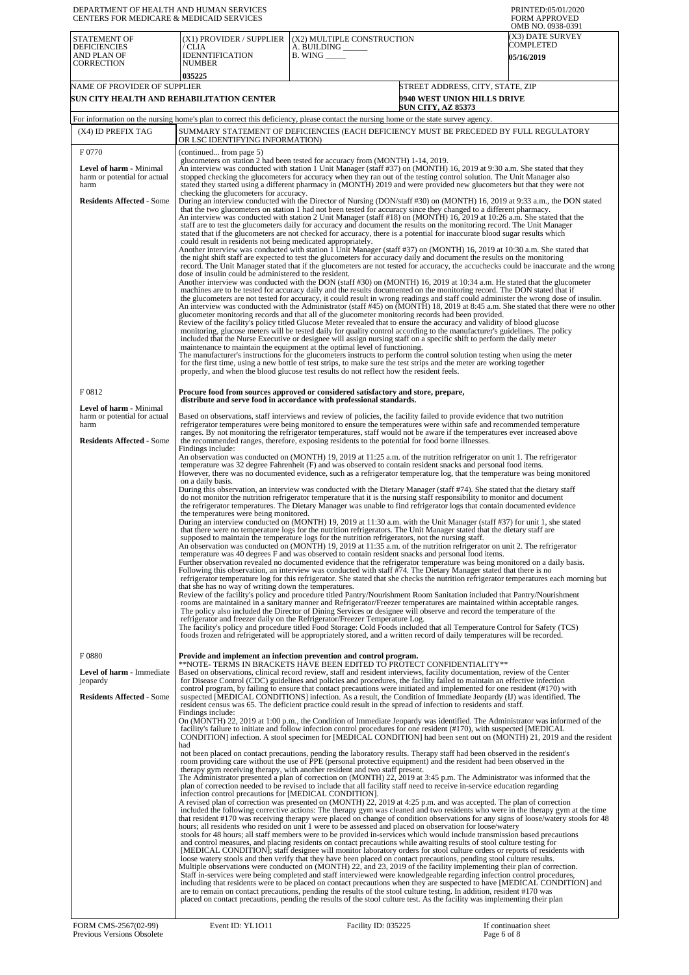| DEPARTMENT OF HEALTH AND HUMAN SERVICES<br>CENTERS FOR MEDICARE & MEDICAID SERVICES                        |                                                                                                                                                                  |                                                                                                                                                                                                                                                                                                                                                                                                                                                                                                                                                                                                                                                                                                                                                                                                                                                                                                                                                                                                                                                                                                                                                                                                                                                                                                                                                                                                                                                                                                                                                                                                                                                                                                                                                                                                                                                                                                                                                                                                                                                                                                                                                                                                                                                                                                                                            | PRINTED:05/01/2020<br><b>FORM APPROVED</b>                                                                                                                                                                                                                                                        |
|------------------------------------------------------------------------------------------------------------|------------------------------------------------------------------------------------------------------------------------------------------------------------------|--------------------------------------------------------------------------------------------------------------------------------------------------------------------------------------------------------------------------------------------------------------------------------------------------------------------------------------------------------------------------------------------------------------------------------------------------------------------------------------------------------------------------------------------------------------------------------------------------------------------------------------------------------------------------------------------------------------------------------------------------------------------------------------------------------------------------------------------------------------------------------------------------------------------------------------------------------------------------------------------------------------------------------------------------------------------------------------------------------------------------------------------------------------------------------------------------------------------------------------------------------------------------------------------------------------------------------------------------------------------------------------------------------------------------------------------------------------------------------------------------------------------------------------------------------------------------------------------------------------------------------------------------------------------------------------------------------------------------------------------------------------------------------------------------------------------------------------------------------------------------------------------------------------------------------------------------------------------------------------------------------------------------------------------------------------------------------------------------------------------------------------------------------------------------------------------------------------------------------------------------------------------------------------------------------------------------------------------|---------------------------------------------------------------------------------------------------------------------------------------------------------------------------------------------------------------------------------------------------------------------------------------------------|
| STATEMENT OF<br><b>DEFICIENCIES</b><br>AND PLAN OF<br>CORRECTION                                           | (X1) PROVIDER / SUPPLIER<br>/ CLIA<br><b>IDENNTIFICATION</b><br><b>NUMBER</b><br>035225                                                                          | (X2) MULTIPLE CONSTRUCTION<br>A. BUILDING _____<br>$B.$ WING $\_\_\_\_\_\_\_\$                                                                                                                                                                                                                                                                                                                                                                                                                                                                                                                                                                                                                                                                                                                                                                                                                                                                                                                                                                                                                                                                                                                                                                                                                                                                                                                                                                                                                                                                                                                                                                                                                                                                                                                                                                                                                                                                                                                                                                                                                                                                                                                                                                                                                                                             | OMB NO. 0938-0391<br>(X3) DATE SURVEY<br>COMPLETED<br><b>05/16/2019</b>                                                                                                                                                                                                                           |
| NAME OF PROVIDER OF SUPPLIER<br>SUN CITY HEALTH AND REHABILITATION CENTER                                  |                                                                                                                                                                  |                                                                                                                                                                                                                                                                                                                                                                                                                                                                                                                                                                                                                                                                                                                                                                                                                                                                                                                                                                                                                                                                                                                                                                                                                                                                                                                                                                                                                                                                                                                                                                                                                                                                                                                                                                                                                                                                                                                                                                                                                                                                                                                                                                                                                                                                                                                                            | STREET ADDRESS, CITY, STATE, ZIP<br><b>9940 WEST UNION HILLS DRIVE</b>                                                                                                                                                                                                                            |
|                                                                                                            |                                                                                                                                                                  | <b>SUN CITY, AZ 85373</b><br>For information on the nursing home's plan to correct this deficiency, please contact the nursing home or the state survey agency.                                                                                                                                                                                                                                                                                                                                                                                                                                                                                                                                                                                                                                                                                                                                                                                                                                                                                                                                                                                                                                                                                                                                                                                                                                                                                                                                                                                                                                                                                                                                                                                                                                                                                                                                                                                                                                                                                                                                                                                                                                                                                                                                                                            |                                                                                                                                                                                                                                                                                                   |
| (X4) ID PREFIX TAG                                                                                         | OR LSC IDENTIFYING INFORMATION)                                                                                                                                  | SUMMARY STATEMENT OF DEFICIENCIES (EACH DEFICIENCY MUST BE PRECEDED BY FULL REGULATORY                                                                                                                                                                                                                                                                                                                                                                                                                                                                                                                                                                                                                                                                                                                                                                                                                                                                                                                                                                                                                                                                                                                                                                                                                                                                                                                                                                                                                                                                                                                                                                                                                                                                                                                                                                                                                                                                                                                                                                                                                                                                                                                                                                                                                                                     |                                                                                                                                                                                                                                                                                                   |
| F0770<br><b>Level of harm - Minimal</b><br>harm or potential for actual<br>harm                            | (continued from page 5)                                                                                                                                          | glucometers on station 2 had been tested for accuracy from (MONTH) 1-14, 2019.<br>An interview was conducted with station 1 Unit Manager (staff #37) on (MONTH) 16, 2019 at 9:30 a.m. She stated that they<br>stopped checking the glucometers for accuracy when they ran out of the testing control solution. The Unit Manager also<br>stated they started using a different pharmacy in (MONTH) 2019 and were provided new glucometers but that they were not                                                                                                                                                                                                                                                                                                                                                                                                                                                                                                                                                                                                                                                                                                                                                                                                                                                                                                                                                                                                                                                                                                                                                                                                                                                                                                                                                                                                                                                                                                                                                                                                                                                                                                                                                                                                                                                                            |                                                                                                                                                                                                                                                                                                   |
| <b>Residents Affected - Some</b>                                                                           | checking the glucometers for accuracy.<br>could result in residents not being medicated appropriately.<br>dose of insulin could be administered to the resident. | During an interview conducted with the Director of Nursing (DON/staff #30) on (MONTH) 16, 2019 at 9:33 a.m., the DON stated<br>that the two glucometers on station 1 had not been tested for accuracy since they changed to a different pharmacy.<br>An interview was conducted with station 2 Unit Manager (staff #18) on (MONTH) 16, 2019 at 10:26 a.m. She stated that the<br>staff are to test the glucometers daily for accuracy and document the results on the monitoring record. The Unit Manager<br>stated that if the glucometers are not checked for accuracy, there is a potential for inaccurate blood sugar results which<br>Another interview was conducted with station 1 Unit Manager (staff #37) on (MONTH) 16, 2019 at 10:30 a.m. She stated that<br>the night shift staff are expected to test the glucometers for accuracy daily and document the results on the monitoring<br>Another interview was conducted with the DON (staff #30) on (MONTH) 16, 2019 at 10:34 a.m. He stated that the glucometer<br>machines are to be tested for accuracy daily and the results documented on the monitoring record. The DON stated that if<br>the glucometers are not tested for accuracy, it could result in wrong readings and staff could administer the wrong dose of insulin.<br>glucometer monitoring records and that all of the glucometer monitoring records had been provided.<br>Review of the facility's policy titled Glucose Meter revealed that to ensure the accuracy and validity of blood glucose<br>monitoring, glucose meters will be tested daily for quality control according to the manufacturer's guidelines. The policy<br>included that the Nurse Executive or designee will assign nursing staff on a specific shift to perform the daily meter<br>maintenance to maintain the equipment at the optimal level of functioning.<br>The manufacturer's instructions for the glucometers instructs to perform the control solution testing when using the meter<br>for the first time, using a new bottle of test strips, to make sure the test strips and the meter are working together<br>properly, and when the blood glucose test results do not reflect how the resident feels.                                                                                                                | record. The Unit Manager stated that if the glucometers are not tested for accuracy, the accuchecks could be inaccurate and the wrong<br>An interview was conducted with the Administrator (staff #45) on (MONTH) 18, 2019 at 8:45 a.m. She stated that there were no other                       |
| F0812                                                                                                      |                                                                                                                                                                  | Procure food from sources approved or considered satisfactory and store, prepare,<br>distribute and serve food in accordance with professional standards.                                                                                                                                                                                                                                                                                                                                                                                                                                                                                                                                                                                                                                                                                                                                                                                                                                                                                                                                                                                                                                                                                                                                                                                                                                                                                                                                                                                                                                                                                                                                                                                                                                                                                                                                                                                                                                                                                                                                                                                                                                                                                                                                                                                  |                                                                                                                                                                                                                                                                                                   |
| <b>Level of harm - Minimal</b><br>harm or potential for actual<br>harm<br><b>Residents Affected - Some</b> |                                                                                                                                                                  | Based on observations, staff interviews and review of policies, the facility failed to provide evidence that two nutrition<br>refrigerator temperatures were being monitored to ensure the temperatures were within safe and recommended temperature<br>ranges. By not monitoring the refrigerator temperatures, staff would not be aware if the temperatures ever increased above<br>the recommended ranges, therefore, exposing residents to the potential for food borne illnesses.                                                                                                                                                                                                                                                                                                                                                                                                                                                                                                                                                                                                                                                                                                                                                                                                                                                                                                                                                                                                                                                                                                                                                                                                                                                                                                                                                                                                                                                                                                                                                                                                                                                                                                                                                                                                                                                     |                                                                                                                                                                                                                                                                                                   |
|                                                                                                            | Findings include:<br>on a daily basis.<br>the temperatures were being monitored.<br>that she has no way of writing down the temperatures.                        | An observation was conducted on (MONTH) 19, 2019 at 11:25 a.m. of the nutrition refrigerator on unit 1. The refrigerator<br>temperature was 32 degree Fahrenheit (F) and was observed to contain resident snacks and personal food items.<br>However, there was no documented evidence, such as a refrigerator temperature log, that the temperature was being monitored<br>During this observation, an interview was conducted with the Dietary Manager (staff #74). She stated that the dietary staff<br>do not monitor the nutrition refrigerator temperature that it is the nursing staff responsibility to monitor and document<br>the refrigerator temperatures. The Dietary Manager was unable to find refrigerator logs that contain documented evidence<br>During an interview conducted on (MONTH) 19, 2019 at 11:30 a.m. with the Unit Manager (staff #37) for unit 1, she stated<br>that there were no temperature logs for the nutrition refrigerators. The Unit Manager stated that the dietary staff are<br>supposed to maintain the temperature logs for the nutrition refrigerators, not the nursing staff.<br>An observation was conducted on (MONTH) 19, 2019 at 11:35 a.m. of the nutrition refrigerator on unit 2. The refrigerator<br>temperature was 40 degrees F and was observed to contain resident snacks and personal food items.<br>Further observation revealed no documented evidence that the refrigerator temperature was being monitored on a daily basis.<br>Following this observation, an interview was conducted with staff #74. The Dietary Manager stated that there is no<br>Review of the facility's policy and procedure titled Pantry/Nourishment Room Sanitation included that Pantry/Nourishment<br>rooms are maintained in a sanitary manner and Refrigerator/Freezer temperatures are maintained within acceptable ranges.<br>The policy also included the Director of Dining Services or designee will observe and record the temperature of the<br>refrigerator and freezer daily on the Refrigerator/Freezer Temperature Log.<br>The facility's policy and procedure titled Food Storage: Cold Foods included that all Temperature Control for Safety (TCS)<br>foods frozen and refrigerated will be appropriately stored, and a written record of daily temperatures will be recorded. | refrigerator temperature log for this refrigerator. She stated that she checks the nutrition refrigerator temperatures each morning but                                                                                                                                                           |
| F0880<br>Level of harm - Immediate<br>jeopardy<br><b>Residents Affected - Some</b>                         | Findings include:<br>had<br>infection control precautions for [MEDICAL CONDITION].                                                                               | Provide and implement an infection prevention and control program.<br>**NOTE- TERMS IN BRACKETS HAVE BEEN EDITED TO PROTECT CONFIDENTIALITY**<br>Based on observations, clinical record review, staff and resident interviews, facility documentation, review of the Center<br>for Disease Control (CDC) guidelines and policies and procedures, the facility failed to maintain an effective infection<br>control program, by failing to ensure that contact precautions were initiated and implemented for one resident (#170) with<br>suspected [MEDICAL CONDITIONS] infection. As a result, the Condition of Immediate Jeopardy (IJ) was identified. The<br>resident census was 65. The deficient practice could result in the spread of infection to residents and staff.<br>On (MONTH) 22, 2019 at 1:00 p.m., the Condition of Immediate Jeopardy was identified. The Administrator was informed of the<br>facility's failure to initiate and follow infection control procedures for one resident (#170), with suspected [MEDICAL<br>not been placed on contact precautions, pending the laboratory results. Therapy staff had been observed in the resident's<br>room providing care without the use of PPE (personal protective equipment) and the resident had been observed in the<br>therapy gym receiving therapy, with another resident and two staff present.<br>The Administrator presented a plan of correction on (MONTH) 22, 2019 at 3:45 p.m. The Administrator was informed that the<br>plan of correction needed to be revised to include that all facility staff need to receive in-service education regarding                                                                                                                                                                                                                                                                                                                                                                                                                                                                                                                                                                                                                                                                                                     | CONDITION] infection. A stool specimen for [MEDICAL CONDITION] had been sent out on (MONTH) 21, 2019 and the resident                                                                                                                                                                             |
| FORM CMS-2567(02-99)                                                                                       | Event ID: YL1011                                                                                                                                                 | A revised plan of correction was presented on (MONTH) 22, 2019 at 4:25 p.m. and was accepted. The plan of correction<br>hours; all residents who resided on unit 1 were to be assessed and placed on observation for loose/watery<br>stools for 48 hours; all staff members were to be provided in-services which would include transmission based precautions<br>and control measures, and placing residents on contact precautions while awaiting results of stool culture testing for<br>[MEDICAL CONDITION]; staff designee will monitor laboratory orders for stool culture orders or reports of residents with<br>loose watery stools and then verify that they have been placed on contact precautions, pending stool culture results.<br>Multiple observations were conducted on (MONTH) 22, and 23, 2019 of the facility implementing their plan of correction.<br>Staff in-services were being completed and staff interviewed were knowledgeable regarding infection control procedures,<br>including that residents were to be placed on contact precautions when they are suspected to have [MEDICAL CONDITION] and<br>are to remain on contact precautions, pending the results of the stool culture testing. In addition, resident #170 was<br>placed on contact precautions, pending the results of the stool culture test. As the facility was implementing their plan<br>Facility ID: 035225                                                                                                                                                                                                                                                                                                                                                                                                                                                                                                                                                                                                                                                                                                                                                                                                                                                                                                                             | included the following corrective actions: The therapy gym was cleaned and two residents who were in the therapy gym at the time<br>that resident #170 was receiving therapy were placed on change of condition observations for any signs of loose/watery stools for 48<br>If continuation sheet |
| Previous Versions Obsolete                                                                                 |                                                                                                                                                                  |                                                                                                                                                                                                                                                                                                                                                                                                                                                                                                                                                                                                                                                                                                                                                                                                                                                                                                                                                                                                                                                                                                                                                                                                                                                                                                                                                                                                                                                                                                                                                                                                                                                                                                                                                                                                                                                                                                                                                                                                                                                                                                                                                                                                                                                                                                                                            | Page 6 of 8                                                                                                                                                                                                                                                                                       |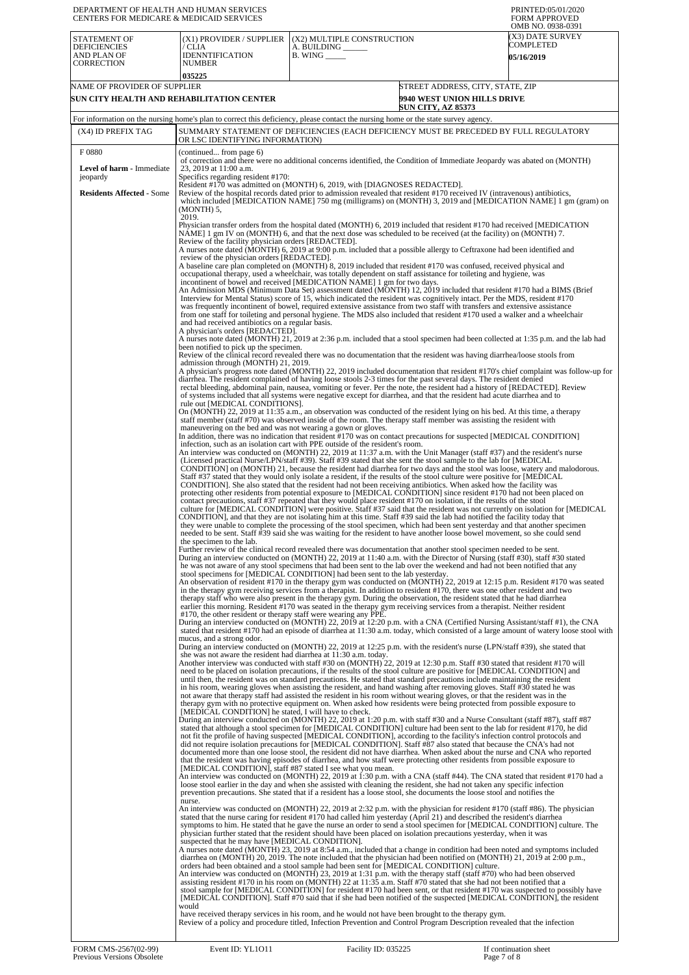| DEPARTMENT OF HEALTH AND HUMAN SERVICES<br>CENTERS FOR MEDICARE & MEDICAID SERVICES |                                                                                         |                                                                                                                                                                                                                                                                                                                                                                                                                                                                                                                                                                                                                                                                                                                              | PRINTED:05/01/2020<br><b>FORM APPROVED</b><br>OMB NO. 0938-0391 |
|-------------------------------------------------------------------------------------|-----------------------------------------------------------------------------------------|------------------------------------------------------------------------------------------------------------------------------------------------------------------------------------------------------------------------------------------------------------------------------------------------------------------------------------------------------------------------------------------------------------------------------------------------------------------------------------------------------------------------------------------------------------------------------------------------------------------------------------------------------------------------------------------------------------------------------|-----------------------------------------------------------------|
| STATEMENT OF<br><b>DEFICIENCIES</b><br>AND PLAN OF<br><b>CORRECTION</b>             | (X1) PROVIDER / SUPPLIER<br>/ CLIA<br><b>IDENNTIFICATION</b><br><b>NUMBER</b><br>035225 | (X2) MULTIPLE CONSTRUCTION<br>A. BUILDING<br>$B.$ WING $\_\_\_\_\_\_\_\$                                                                                                                                                                                                                                                                                                                                                                                                                                                                                                                                                                                                                                                     | (X3) DATE SURVEY<br>COMPLETED<br><b>05/16/2019</b>              |
| NAME OF PROVIDER OF SUPPLIER<br>SUN CITY HEALTH AND REHABILITATION CENTER           |                                                                                         | STREET ADDRESS, CITY, STATE, ZIP<br>9940 WEST UNION HILLS DRIVE<br><b>SUN CITY, AZ 85373</b>                                                                                                                                                                                                                                                                                                                                                                                                                                                                                                                                                                                                                                 |                                                                 |
|                                                                                     |                                                                                         | For information on the nursing home's plan to correct this deficiency, please contact the nursing home or the state survey agency.                                                                                                                                                                                                                                                                                                                                                                                                                                                                                                                                                                                           |                                                                 |
| (X4) ID PREFIX TAG                                                                  | OR LSC IDENTIFYING INFORMATION)                                                         | SUMMARY STATEMENT OF DEFICIENCIES (EACH DEFICIENCY MUST BE PRECEDED BY FULL REGULATORY                                                                                                                                                                                                                                                                                                                                                                                                                                                                                                                                                                                                                                       |                                                                 |
| F0880<br><b>Level of harm - Immediate</b>                                           | (continued from page 6)<br>23, 2019 at 11:00 a.m.                                       | of correction and there were no additional concerns identified, the Condition of Immediate Jeopardy was abated on (MONTH)                                                                                                                                                                                                                                                                                                                                                                                                                                                                                                                                                                                                    |                                                                 |
| jeopardy                                                                            | Specifics regarding resident #170:                                                      | Resident #170 was admitted on (MONTH) 6, 2019, with [DIAGNOSES REDACTED].                                                                                                                                                                                                                                                                                                                                                                                                                                                                                                                                                                                                                                                    |                                                                 |
| <b>Residents Affected - Some</b>                                                    | (MONTH) 5,<br>2019.                                                                     | Review of the hospital records dated prior to admission revealed that resident #170 received IV (intravenous) antibiotics,<br>which included [MEDICATION NAME] 750 mg (milligrams) on (MONTH) 3, 2019 and [MEDICATION NAME] 1 gm (gram) on                                                                                                                                                                                                                                                                                                                                                                                                                                                                                   |                                                                 |
|                                                                                     | Review of the facility physician orders [REDACTED].                                     | Physician transfer orders from the hospital dated (MONTH) 6, 2019 included that resident #170 had received [MEDICATION<br>NAME] 1 gm IV on (MONTH) 6, and that the next dose was scheduled to be received (at the facility) on (MONTH) 7.                                                                                                                                                                                                                                                                                                                                                                                                                                                                                    |                                                                 |
|                                                                                     | review of the physician orders [REDACTED].                                              | A nurses note dated (MONTH) 6, 2019 at 9:00 p.m. included that a possible allergy to Ceftraxone had been identified and                                                                                                                                                                                                                                                                                                                                                                                                                                                                                                                                                                                                      |                                                                 |
|                                                                                     |                                                                                         | A baseline care plan completed on (MONTH) 8, 2019 included that resident #170 was confused, received physical and<br>occupational therapy, used a wheelchair, was totally dependent on staff assistance for toileting and hygiene, was<br>incontinent of bowel and received [MEDICATION NAME] 1 gm for two days.                                                                                                                                                                                                                                                                                                                                                                                                             |                                                                 |
|                                                                                     |                                                                                         | An Admission MDS (Minimum Data Set) assessment dated (MONTH) 12, 2019 included that resident #170 had a BIMS (Brief<br>Interview for Mental Status) score of 15, which indicated the resident was cognitively intact. Per the MDS, resident #170<br>was frequently incontinent of bowel, required extensive assistance from two staff with transfers and extensive assistance<br>from one staff for toileting and personal hygiene. The MDS also included that resident #170 used a walker and a wheelchair                                                                                                                                                                                                                  |                                                                 |
|                                                                                     | and had received antibiotics on a regular basis.<br>A physician's orders [REDACTED].    | A nurses note dated (MONTH) 21, 2019 at 2:36 p.m. included that a stool specimen had been collected at 1:35 p.m. and the lab had                                                                                                                                                                                                                                                                                                                                                                                                                                                                                                                                                                                             |                                                                 |
|                                                                                     | been notified to pick up the specimen.<br>admission through (MONTH) 21, 2019.           | Review of the clinical record revealed there was no documentation that the resident was having diarrhea/loose stools from                                                                                                                                                                                                                                                                                                                                                                                                                                                                                                                                                                                                    |                                                                 |
|                                                                                     |                                                                                         | A physician's progress note dated (MONTH) 22, 2019 included documentation that resident #170's chief complaint was follow-up for<br>diarrhea. The resident complained of having loose stools 2-3 times for the past several days. The resident denied<br>rectal bleeding, abdominal pain, nausea, vomiting or fever. Per the note, the resident had a history of [REDACTED]. Review                                                                                                                                                                                                                                                                                                                                          |                                                                 |
|                                                                                     | rule out [MEDICAL CONDITIONS].                                                          | of systems included that all systems were negative except for diarrhea, and that the resident had acute diarrhea and to<br>On (MONTH) 22, 2019 at 11:35 a.m., an observation was conducted of the resident lying on his bed. At this time, a therapy                                                                                                                                                                                                                                                                                                                                                                                                                                                                         |                                                                 |
|                                                                                     | maneuvering on the bed and was not wearing a gown or gloves.                            | staff member (staff #70) was observed inside of the room. The therapy staff member was assisting the resident with<br>In addition, there was no indication that resident #170 was on contact precautions for suspected [MEDICAL CONDITION]                                                                                                                                                                                                                                                                                                                                                                                                                                                                                   |                                                                 |
|                                                                                     |                                                                                         | infection, such as an isolation cart with PPE outside of the resident's room.<br>An interview was conducted on (MONTH) 22, 2019 at 11:37 a.m. with the Unit Manager (staff #37) and the resident's nurse<br>(Licensed practical Nurse/LPN/staff #39). Staff #39 stated that she sent the stool sample to the lab for [MEDICAL                                                                                                                                                                                                                                                                                                                                                                                                |                                                                 |
|                                                                                     |                                                                                         | CONDITION] on (MONTH) 21, because the resident had diarrhea for two days and the stool was loose, watery and malodorous.<br>Staff #37 stated that they would only isolate a resident, if the results of the stool culture were positive for [MEDICAL<br>CONDITION]. She also stated that the resident had not been receiving antibiotics. When asked how the facility was<br>protecting other residents from potential exposure to [MEDICAL CONDITION] since resident #170 had not been placed on<br>contact precautions, staff #37 repeated that they would place resident #170 on isolation, if the results of the stool                                                                                                   |                                                                 |
|                                                                                     | the specimen to the lab.                                                                | culture for [MEDICAL CONDITION] were positive. Staff #37 said that the resident was not currently on isolation for [MEDICAL<br>CONDITION], and that they are not isolating him at this time. Staff #39 said the lab had notified the facility today that<br>they were unable to complete the processing of the stool specimen, which had been sent yesterday and that another specimen<br>needed to be sent. Staff #39 said she was waiting for the resident to have another loose bowel movement, so she could send                                                                                                                                                                                                         |                                                                 |
|                                                                                     |                                                                                         | Further review of the clinical record revealed there was documentation that another stool specimen needed to be sent.<br>During an interview conducted on (MONTH) 22, 2019 at 11:40 a.m. with the Director of Nursing (staff #30), staff #30 stated<br>he was not aware of any stool specimens that had been sent to the lab over the weekend and had not been notified that any<br>stool specimens for [MEDICAL CONDITION] had been sent to the lab yesterday.                                                                                                                                                                                                                                                              |                                                                 |
|                                                                                     | #170, the other resident or therapy staff were wearing any PPE.                         | An observation of resident #170 in the therapy gym was conducted on (MONTH) 22, 2019 at 12:15 p.m. Resident #170 was seated<br>in the therapy gym receiving services from a therapist. In addition to resident #170, there was one other resident and two<br>therapy staff who were also present in the therapy gym. During the observation, the resident stated that he had diarrhea<br>earlier this morning. Resident #170 was seated in the therapy gym receiving services from a therapist. Neither resident                                                                                                                                                                                                             |                                                                 |
|                                                                                     | mucus, and a strong odor.                                                               | During an interview conducted on (MONTH) 22, 2019 at 12:20 p.m. with a CNA (Certified Nursing Assistant/staff #1), the CNA<br>stated that resident #170 had an episode of diarrhea at 11:30 a.m. today, which consisted of a large amount of watery loose stool with                                                                                                                                                                                                                                                                                                                                                                                                                                                         |                                                                 |
|                                                                                     | she was not aware the resident had diarrhea at 11:30 a.m. today.                        | During an interview conducted on (MONTH) 22, 2019 at 12:25 p.m. with the resident's nurse (LPN/staff #39), she stated that<br>Another interview was conducted with staff #30 on (MONTH) 22, 2019 at 12:30 p.m. Staff #30 stated that resident #170 will                                                                                                                                                                                                                                                                                                                                                                                                                                                                      |                                                                 |
|                                                                                     |                                                                                         | need to be placed on isolation precautions, if the results of the stool culture are positive for [MEDICAL CONDITION] and<br>until then, the resident was on standard precautions. He stated that standard precautions include maintaining the resident<br>in his room, wearing gloves when assisting the resident, and hand washing after removing gloves. Staff #30 stated he was<br>not aware that therapy staff had assisted the resident in his room without wearing gloves, or that the resident was in the<br>therapy gym with no protective equipment on. When asked how residents were being protected from possible exposure to                                                                                     |                                                                 |
|                                                                                     | [MEDICAL CONDITION] he stated, I will have to check.                                    | During an interview conducted on (MONTH) 22, 2019 at 1:20 p.m. with staff #30 and a Nurse Consultant (staff #87), staff #87<br>stated that although a stool specimen for [MEDICAL CONDITION] culture had been sent to the lab for resident #170, he did<br>not fit the profile of having suspected [MEDICAL CONDITION], according to the facility's infection control protocols and<br>did not require isolation precautions for [MEDICAL CONDITION]. Staff #87 also stated that because the CNA's had not<br>documented more than one loose stool, the resident did not have diarrhea. When asked about the nurse and CNA who reported                                                                                      |                                                                 |
|                                                                                     | [MEDICAL CONDITION], staff #87 stated I see what you mean.                              | that the resident was having episodes of diarrhea, and how staff were protecting other residents from possible exposure to<br>An interview was conducted on (MONTH) 22, 2019 at 1:30 p.m. with a CNA (staff #44). The CNA stated that resident #170 had a<br>loose stool earlier in the day and when she assisted with cleaning the resident, she had not taken any specific infection                                                                                                                                                                                                                                                                                                                                       |                                                                 |
|                                                                                     | nurse.                                                                                  | prevention precautions. She stated that if a resident has a loose stool, she documents the loose stool and notifies the<br>An interview was conducted on (MONTH) 22, 2019 at 2:32 p.m. with the physician for resident #170 (staff #86). The physician<br>stated that the nurse caring for resident #170 had called him yesterday (April 21) and described the resident's diarrhea                                                                                                                                                                                                                                                                                                                                           |                                                                 |
|                                                                                     | suspected that he may have [MEDICAL CONDITION].                                         | symptoms to him. He stated that he gave the nurse an order to send a stool specimen for [MEDICAL CONDITION] culture. The<br>physician further stated that the resident should have been placed on isolation precautions yesterday, when it was<br>A nurses note dated (MONTH) 23, 2019 at 8:54 a.m., included that a change in condition had been noted and symptoms included                                                                                                                                                                                                                                                                                                                                                |                                                                 |
|                                                                                     |                                                                                         | diarrhea on (MONTH) 20, 2019. The note included that the physician had been notified on (MONTH) 21, 2019 at 2:00 p.m.,<br>orders had been obtained and a stool sample had been sent for [MEDICAL CONDITION] culture.<br>An interview was conducted on (MONTH) 23, 2019 at 1:31 p.m. with the therapy staff (staff #70) who had been observed<br>assisting resident #170 in his room on (MONTH) 22 at 11:35 a.m. Staff #70 stated that she had not been notified that a<br>stool sample for [MEDICAL CONDITION] for resident #170 had been sent, or that resident #170 was suspected to possibly have<br>[MEDICAL CONDITION]. Staff #70 said that if she had been notified of the suspected [MEDICAL CONDITION], the resident |                                                                 |
|                                                                                     | would                                                                                   | have received therapy services in his room, and he would not have been brought to the therapy gym.<br>Review of a policy and procedure titled, Infection Prevention and Control Program Description revealed that the infection                                                                                                                                                                                                                                                                                                                                                                                                                                                                                              |                                                                 |